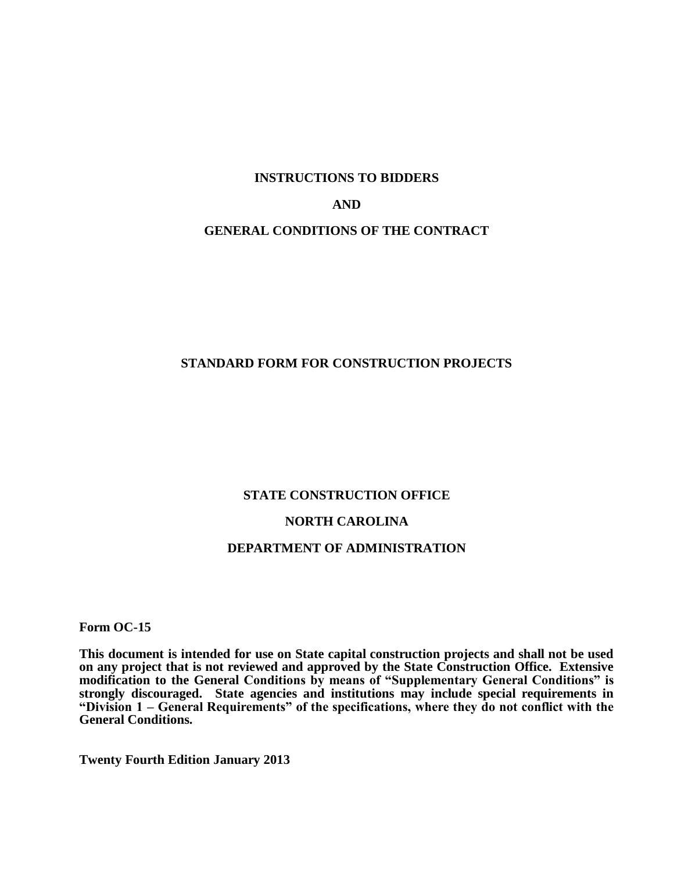# **INSTRUCTIONS TO BIDDERS AND GENERAL CONDITIONS OF THE CONTRACT**

# **STANDARD FORM FOR CONSTRUCTION PROJECTS**

#### **STATE CONSTRUCTION OFFICE**

#### **NORTH CAROLINA**

# **DEPARTMENT OF ADMINISTRATION**

**Form OC-15**

**This document is intended for use on State capital construction projects and shall not be used on any project that is not reviewed and approved by the State Construction Office. Extensive modification to the General Conditions by means of "Supplementary General Conditions" is strongly discouraged. State agencies and institutions may include special requirements in "Division 1 – General Requirements" of the specifications, where they do not conflict with the General Conditions.**

**Twenty Fourth Edition January 2013**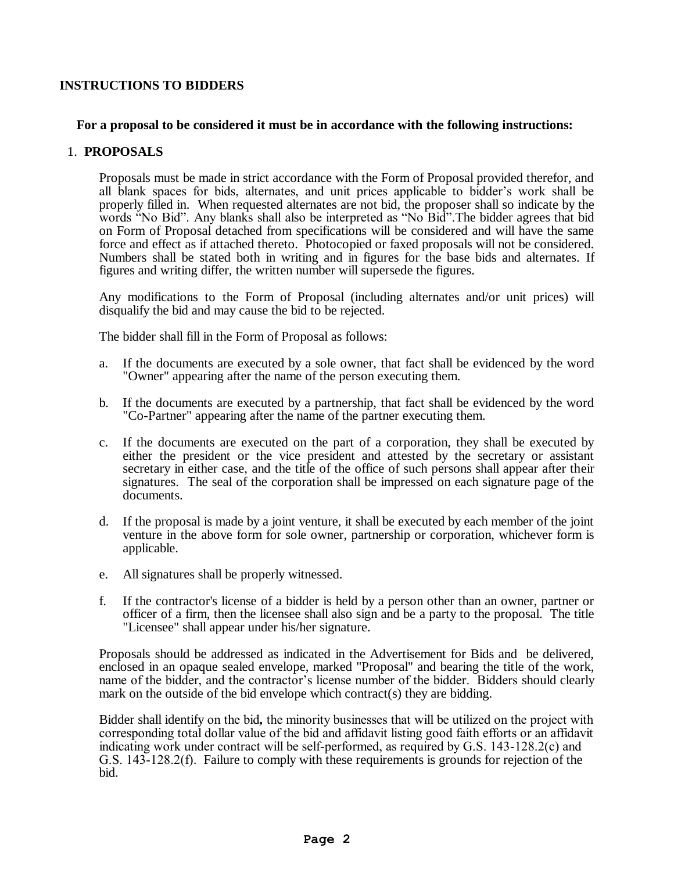# **INSTRUCTIONS TO BIDDERS**

#### **For a proposal to be considered it must be in accordance with the following instructions:**

#### 1. **PROPOSALS**

Proposals must be made in strict accordance with the Form of Proposal provided therefor, and all blank spaces for bids, alternates, and unit prices applicable to bidder's work shall be properly filled in. When requested alternates are not bid, the proposer shall so indicate by the words "No Bid". Any blanks shall also be interpreted as "No Bid".The bidder agrees that bid on Form of Proposal detached from specifications will be considered and will have the same force and effect as if attached thereto. Photocopied or faxed proposals will not be considered. Numbers shall be stated both in writing and in figures for the base bids and alternates. If figures and writing differ, the written number will supersede the figures.

Any modifications to the Form of Proposal (including alternates and/or unit prices) will disqualify the bid and may cause the bid to be rejected.

The bidder shall fill in the Form of Proposal as follows:

- a. If the documents are executed by a sole owner, that fact shall be evidenced by the word "Owner" appearing after the name of the person executing them.
- b. If the documents are executed by a partnership, that fact shall be evidenced by the word "Co-Partner" appearing after the name of the partner executing them.
- c. If the documents are executed on the part of a corporation, they shall be executed by either the president or the vice president and attested by the secretary or assistant secretary in either case, and the title of the office of such persons shall appear after their signatures. The seal of the corporation shall be impressed on each signature page of the documents.
- d. If the proposal is made by a joint venture, it shall be executed by each member of the joint venture in the above form for sole owner, partnership or corporation, whichever form is applicable.
- e. All signatures shall be properly witnessed.
- f. If the contractor's license of a bidder is held by a person other than an owner, partner or officer of a firm, then the licensee shall also sign and be a party to the proposal. The title "Licensee" shall appear under his/her signature.

Proposals should be addressed as indicated in the Advertisement for Bids and be delivered, enclosed in an opaque sealed envelope, marked "Proposal" and bearing the title of the work, name of the bidder, and the contractor's license number of the bidder. Bidders should clearly mark on the outside of the bid envelope which contract(s) they are bidding.

Bidder shall identify on the bid*,* the minority businesses that will be utilized on the project with corresponding total dollar value of the bid and affidavit listing good faith efforts or an affidavit indicating work under contract will be self-performed, as required by G.S. 143-128.2(c) and G.S. 143-128.2(f). Failure to comply with these requirements is grounds for rejection of the bid.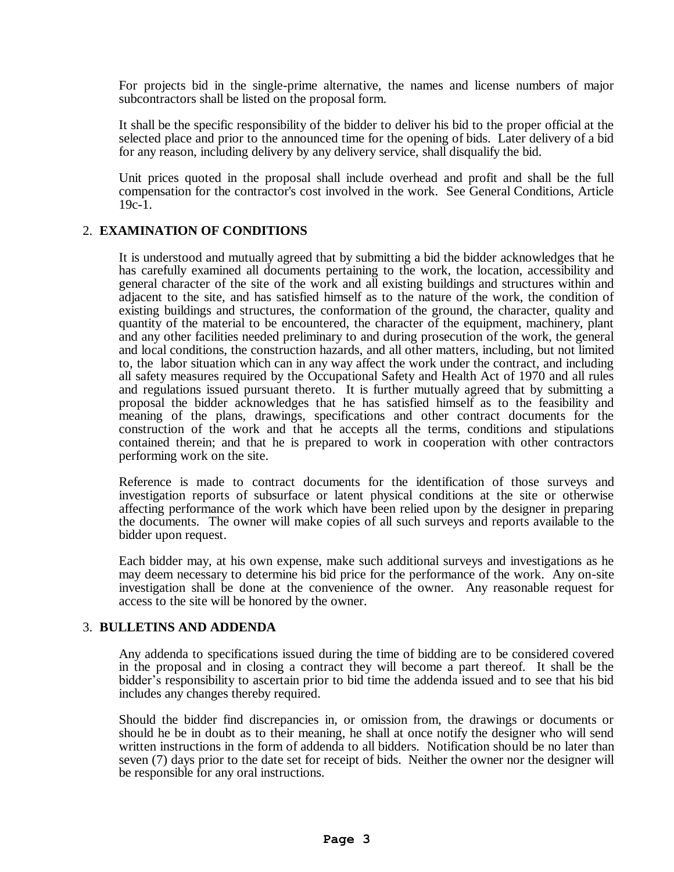For projects bid in the single-prime alternative, the names and license numbers of major subcontractors shall be listed on the proposal form.

It shall be the specific responsibility of the bidder to deliver his bid to the proper official at the selected place and prior to the announced time for the opening of bids. Later delivery of a bid for any reason, including delivery by any delivery service, shall disqualify the bid.

Unit prices quoted in the proposal shall include overhead and profit and shall be the full compensation for the contractor's cost involved in the work. See General Conditions, Article 19c-1.

# 2. **EXAMINATION OF CONDITIONS**

It is understood and mutually agreed that by submitting a bid the bidder acknowledges that he has carefully examined all documents pertaining to the work, the location, accessibility and general character of the site of the work and all existing buildings and structures within and adjacent to the site, and has satisfied himself as to the nature of the work, the condition of existing buildings and structures, the conformation of the ground, the character, quality and quantity of the material to be encountered, the character of the equipment, machinery, plant and any other facilities needed preliminary to and during prosecution of the work, the general and local conditions, the construction hazards, and all other matters, including, but not limited to, the labor situation which can in any way affect the work under the contract, and including all safety measures required by the Occupational Safety and Health Act of 1970 and all rules and regulations issued pursuant thereto. It is further mutually agreed that by submitting a proposal the bidder acknowledges that he has satisfied himself as to the feasibility and meaning of the plans, drawings, specifications and other contract documents for the construction of the work and that he accepts all the terms, conditions and stipulations contained therein; and that he is prepared to work in cooperation with other contractors performing work on the site.

Reference is made to contract documents for the identification of those surveys and investigation reports of subsurface or latent physical conditions at the site or otherwise affecting performance of the work which have been relied upon by the designer in preparing the documents. The owner will make copies of all such surveys and reports available to the bidder upon request.

Each bidder may, at his own expense, make such additional surveys and investigations as he may deem necessary to determine his bid price for the performance of the work. Any on-site investigation shall be done at the convenience of the owner. Any reasonable request for access to the site will be honored by the owner.

# 3. **BULLETINS AND ADDENDA**

Any addenda to specifications issued during the time of bidding are to be considered covered in the proposal and in closing a contract they will become a part thereof. It shall be the bidder's responsibility to ascertain prior to bid time the addenda issued and to see that his bid includes any changes thereby required.

Should the bidder find discrepancies in, or omission from, the drawings or documents or should he be in doubt as to their meaning, he shall at once notify the designer who will send written instructions in the form of addenda to all bidders. Notification should be no later than seven (7) days prior to the date set for receipt of bids. Neither the owner nor the designer will be responsible for any oral instructions.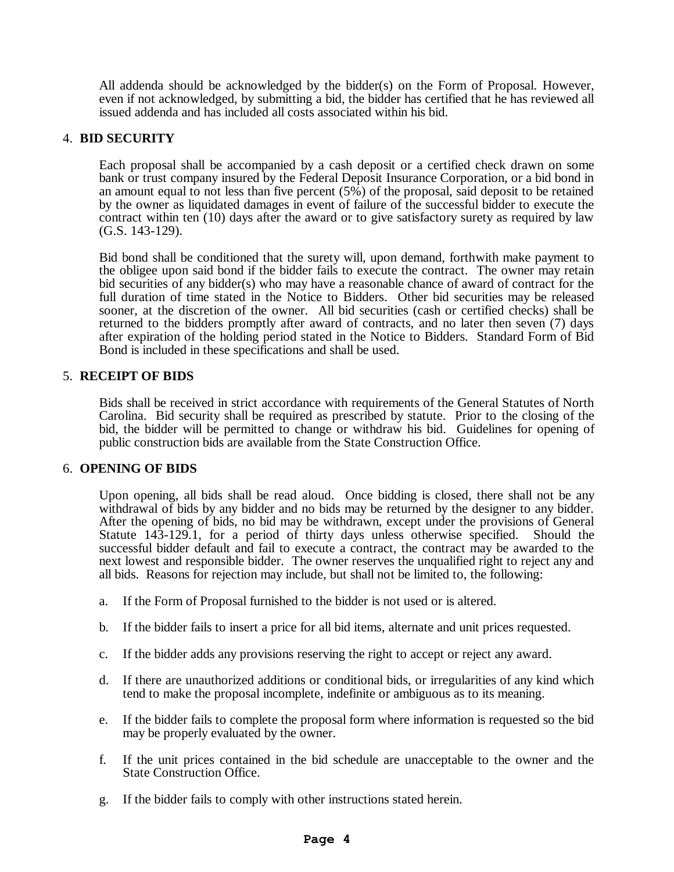All addenda should be acknowledged by the bidder(s) on the Form of Proposal. However, even if not acknowledged, by submitting a bid, the bidder has certified that he has reviewed all issued addenda and has included all costs associated within his bid.

# 4. **BID SECURITY**

Each proposal shall be accompanied by a cash deposit or a certified check drawn on some bank or trust company insured by the Federal Deposit Insurance Corporation, or a bid bond in an amount equal to not less than five percent (5%) of the proposal, said deposit to be retained by the owner as liquidated damages in event of failure of the successful bidder to execute the contract within ten (10) days after the award or to give satisfactory surety as required by law (G.S. 143-129).

Bid bond shall be conditioned that the surety will, upon demand, forthwith make payment to the obligee upon said bond if the bidder fails to execute the contract. The owner may retain bid securities of any bidder(s) who may have a reasonable chance of award of contract for the full duration of time stated in the Notice to Bidders. Other bid securities may be released sooner, at the discretion of the owner. All bid securities (cash or certified checks) shall be returned to the bidders promptly after award of contracts, and no later then seven (7) days after expiration of the holding period stated in the Notice to Bidders. Standard Form of Bid Bond is included in these specifications and shall be used.

#### 5. **RECEIPT OF BIDS**

Bids shall be received in strict accordance with requirements of the General Statutes of North Carolina. Bid security shall be required as prescribed by statute. Prior to the closing of the bid, the bidder will be permitted to change or withdraw his bid. Guidelines for opening of public construction bids are available from the State Construction Office.

#### 6. **OPENING OF BIDS**

Upon opening, all bids shall be read aloud. Once bidding is closed, there shall not be any withdrawal of bids by any bidder and no bids may be returned by the designer to any bidder. After the opening of bids, no bid may be withdrawn, except under the provisions of General Statute 143-129.1, for a period of thirty days unless otherwise specified. Should the successful bidder default and fail to execute a contract, the contract may be awarded to the next lowest and responsible bidder. The owner reserves the unqualified right to reject any and all bids. Reasons for rejection may include, but shall not be limited to, the following:

- a. If the Form of Proposal furnished to the bidder is not used or is altered.
- b. If the bidder fails to insert a price for all bid items, alternate and unit prices requested.
- c. If the bidder adds any provisions reserving the right to accept or reject any award.
- d. If there are unauthorized additions or conditional bids, or irregularities of any kind which tend to make the proposal incomplete, indefinite or ambiguous as to its meaning.
- e. If the bidder fails to complete the proposal form where information is requested so the bid may be properly evaluated by the owner.
- f. If the unit prices contained in the bid schedule are unacceptable to the owner and the State Construction Office.
- g. If the bidder fails to comply with other instructions stated herein.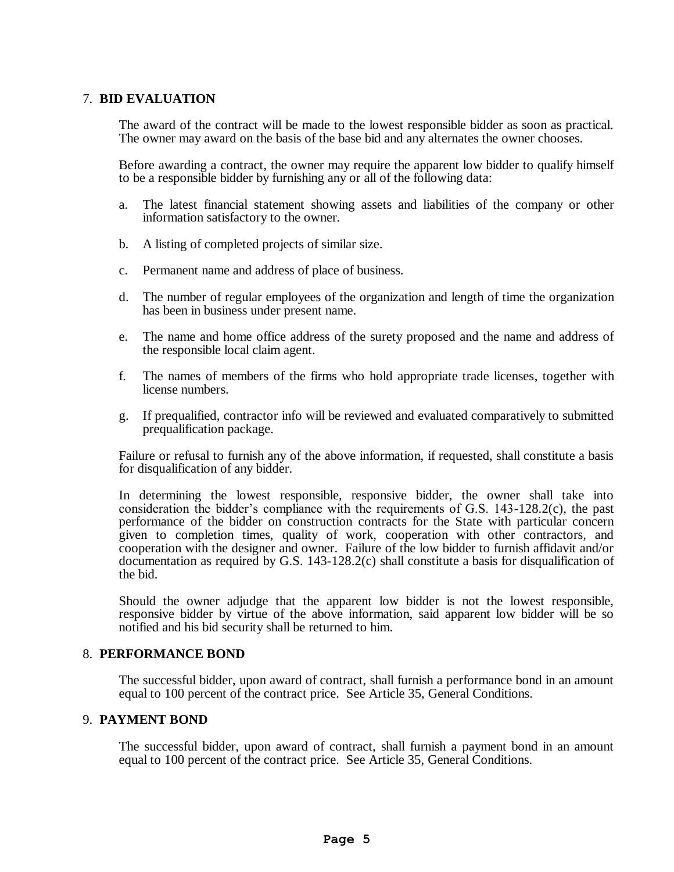#### 7. **BID EVALUATION**

The award of the contract will be made to the lowest responsible bidder as soon as practical. The owner may award on the basis of the base bid and any alternates the owner chooses.

Before awarding a contract, the owner may require the apparent low bidder to qualify himself to be a responsible bidder by furnishing any or all of the following data:

- a. The latest financial statement showing assets and liabilities of the company or other information satisfactory to the owner.
- b. A listing of completed projects of similar size.
- c. Permanent name and address of place of business.
- d. The number of regular employees of the organization and length of time the organization has been in business under present name.
- e. The name and home office address of the surety proposed and the name and address of the responsible local claim agent.
- f. The names of members of the firms who hold appropriate trade licenses, together with license numbers.
- g. If prequalified, contractor info will be reviewed and evaluated comparatively to submitted prequalification package.

Failure or refusal to furnish any of the above information, if requested, shall constitute a basis for disqualification of any bidder.

In determining the lowest responsible, responsive bidder, the owner shall take into consideration the bidder's compliance with the requirements of G.S. 143-128.2(c), the past performance of the bidder on construction contracts for the State with particular concern given to completion times, quality of work, cooperation with other contractors, and cooperation with the designer and owner. Failure of the low bidder to furnish affidavit and/or documentation as required by G.S. 143-128.2(c) shall constitute a basis for disqualification of the bid.

Should the owner adjudge that the apparent low bidder is not the lowest responsible, responsive bidder by virtue of the above information, said apparent low bidder will be so notified and his bid security shall be returned to him.

#### 8. **PERFORMANCE BOND**

The successful bidder, upon award of contract, shall furnish a performance bond in an amount equal to 100 percent of the contract price. See Article 35, General Conditions.

#### 9. **PAYMENT BOND**

The successful bidder, upon award of contract, shall furnish a payment bond in an amount equal to 100 percent of the contract price. See Article 35, General Conditions.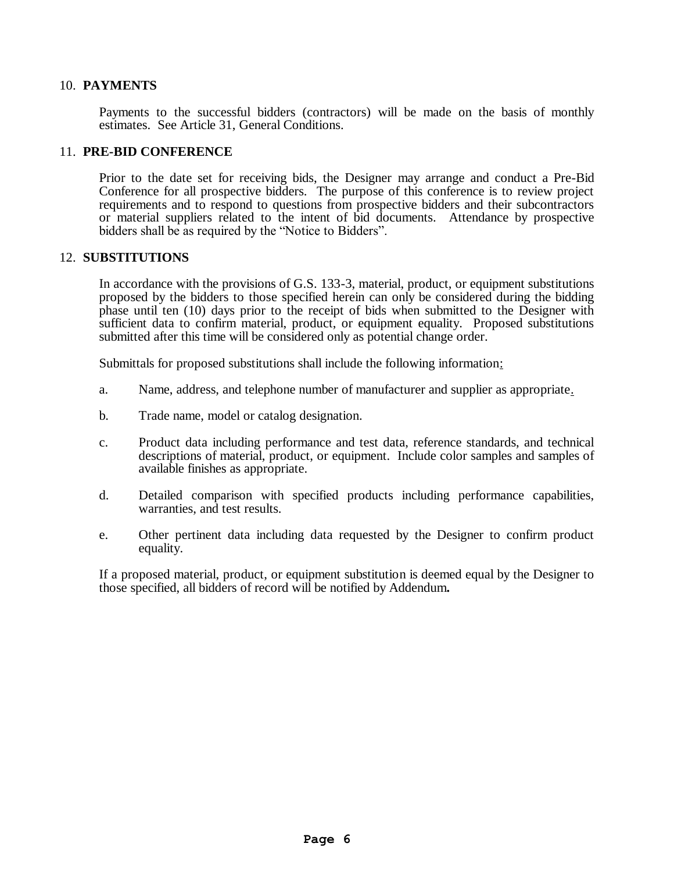#### 10. **PAYMENTS**

Payments to the successful bidders (contractors) will be made on the basis of monthly estimates. See Article 31, General Conditions.

#### 11.**PRE-BID CONFERENCE**

Prior to the date set for receiving bids, the Designer may arrange and conduct a Pre-Bid Conference for all prospective bidders. The purpose of this conference is to review project requirements and to respond to questions from prospective bidders and their subcontractors or material suppliers related to the intent of bid documents. Attendance by prospective bidders shall be as required by the "Notice to Bidders".

#### 12. **SUBSTITUTIONS**

In accordance with the provisions of G.S. 133-3, material, product, or equipment substitutions proposed by the bidders to those specified herein can only be considered during the bidding phase until ten (10) days prior to the receipt of bids when submitted to the Designer with sufficient data to confirm material, product, or equipment equality. Proposed substitutions submitted after this time will be considered only as potential change order.

Submittals for proposed substitutions shall include the following information:

- a. Name, address, and telephone number of manufacturer and supplier as appropriate.
- b. Trade name, model or catalog designation.
- c. Product data including performance and test data, reference standards, and technical descriptions of material, product, or equipment. Include color samples and samples of available finishes as appropriate.
- d. Detailed comparison with specified products including performance capabilities, warranties, and test results.
- e. Other pertinent data including data requested by the Designer to confirm product equality.

If a proposed material, product, or equipment substitution is deemed equal by the Designer to those specified, all bidders of record will be notified by Addendum*.*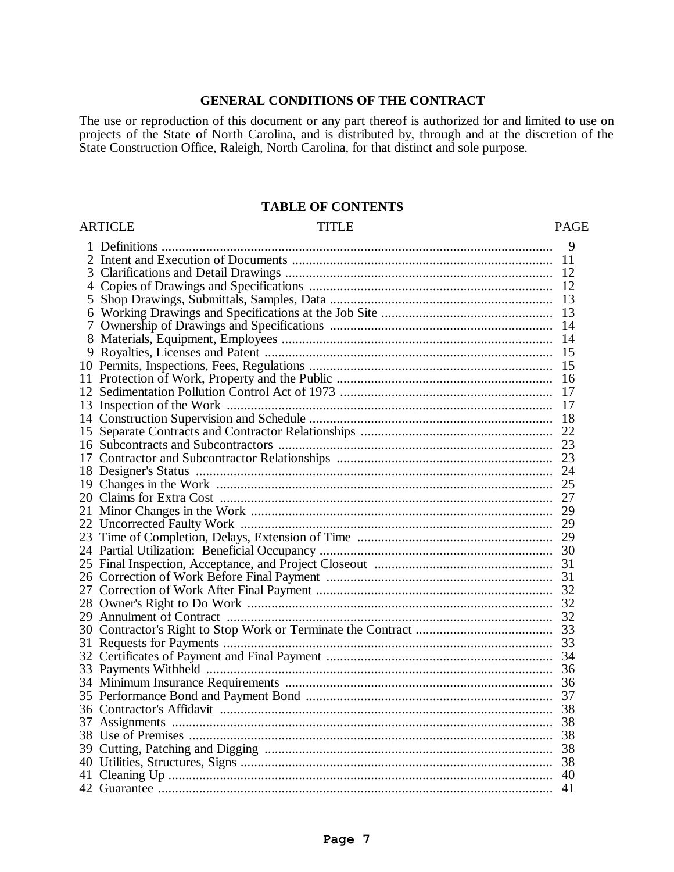#### **GENERAL CONDITIONS OF THE CONTRACT**

The use or reproduction of this document or any part thereof is authorized for and limited to use on projects of the State of North Carolina, and is distributed by, through and at the discretion of the State Construction Office, Raleigh, North Carolina, for that distinct and sole purpose.

# **TABLE OF CONTENTS**

#### ARTICLE PAGE TITLE PAGE

|    | 9    |
|----|------|
|    | 11   |
| 3  | 12   |
|    | -12  |
| 5  |      |
| 6  | 13   |
| 7  | 14   |
| 8  | 14   |
| 9  | -15  |
|    | 15   |
|    | 16   |
|    | -17  |
| 13 | -17  |
|    |      |
| 15 | 22   |
|    | 23   |
| 17 | 23   |
|    |      |
|    |      |
|    | 27   |
|    | 29   |
|    | 29   |
| 23 |      |
|    |      |
|    |      |
|    |      |
|    |      |
|    |      |
|    |      |
|    |      |
|    |      |
|    |      |
|    |      |
|    | 36   |
|    | 37   |
|    |      |
|    | - 38 |
|    |      |
|    | 38   |
|    | -38  |
|    | 40   |
|    | 41   |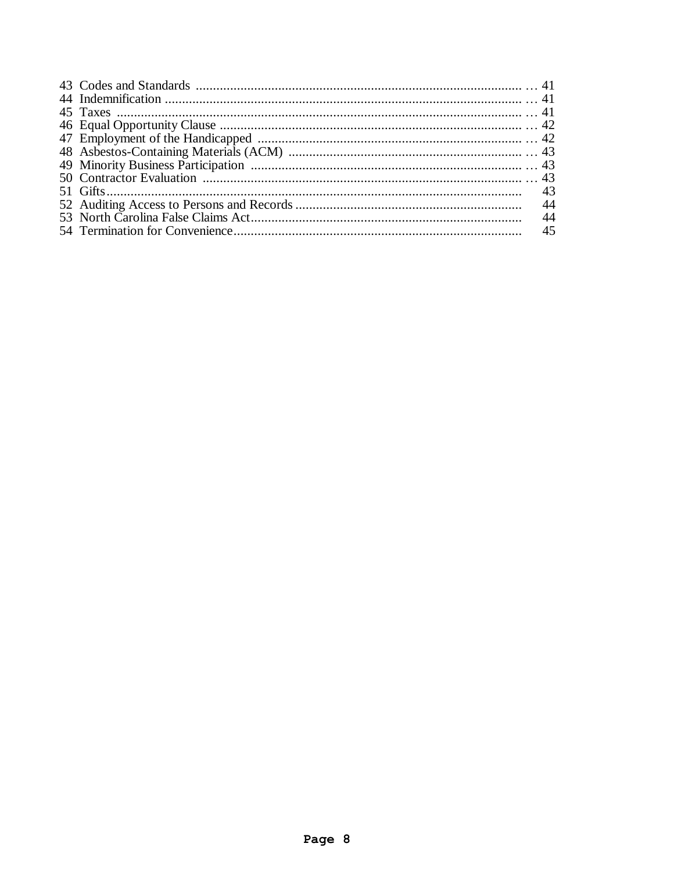|  | 44 |
|--|----|
|  | 44 |
|  | 45 |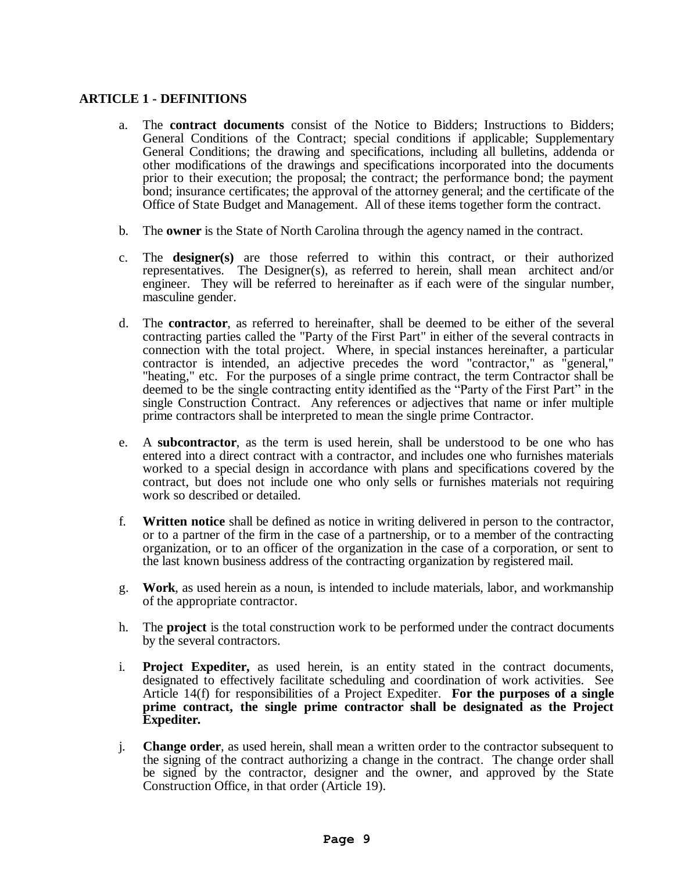# **ARTICLE 1 - DEFINITIONS**

- a. The **contract documents** consist of the Notice to Bidders; Instructions to Bidders; General Conditions of the Contract; special conditions if applicable; Supplementary General Conditions; the drawing and specifications, including all bulletins, addenda or other modifications of the drawings and specifications incorporated into the documents prior to their execution; the proposal; the contract; the performance bond; the payment bond; insurance certificates; the approval of the attorney general; and the certificate of the Office of State Budget and Management. All of these items together form the contract.
- b. The **owner** is the State of North Carolina through the agency named in the contract.
- c. The **designer(s)** are those referred to within this contract, or their authorized representatives. The Designer(s), as referred to herein, shall mean architect and/or engineer. They will be referred to hereinafter as if each were of the singular number, masculine gender.
- d. The **contractor**, as referred to hereinafter, shall be deemed to be either of the several contracting parties called the "Party of the First Part" in either of the several contracts in connection with the total project. Where, in special instances hereinafter, a particular contractor is intended, an adjective precedes the word "contractor," as "general," "heating," etc. For the purposes of a single prime contract, the term Contractor shall be deemed to be the single contracting entity identified as the "Party of the First Part" in the single Construction Contract. Any references or adjectives that name or infer multiple prime contractors shall be interpreted to mean the single prime Contractor.
- e. A **subcontractor**, as the term is used herein, shall be understood to be one who has entered into a direct contract with a contractor, and includes one who furnishes materials worked to a special design in accordance with plans and specifications covered by the contract, but does not include one who only sells or furnishes materials not requiring work so described or detailed.
- f. **Written notice** shall be defined as notice in writing delivered in person to the contractor, or to a partner of the firm in the case of a partnership, or to a member of the contracting organization, or to an officer of the organization in the case of a corporation, or sent to the last known business address of the contracting organization by registered mail.
- g. **Work**, as used herein as a noun, is intended to include materials, labor, and workmanship of the appropriate contractor.
- h. The **project** is the total construction work to be performed under the contract documents by the several contractors.
- i. **Project Expediter,** as used herein, is an entity stated in the contract documents, designated to effectively facilitate scheduling and coordination of work activities. See Article 14(f) for responsibilities of a Project Expediter. **For the purposes of a single prime contract, the single prime contractor shall be designated as the Project Expediter***.*
- j. **Change order**, as used herein, shall mean a written order to the contractor subsequent to the signing of the contract authorizing a change in the contract. The change order shall be signed by the contractor, designer and the owner, and approved by the State Construction Office, in that order (Article 19).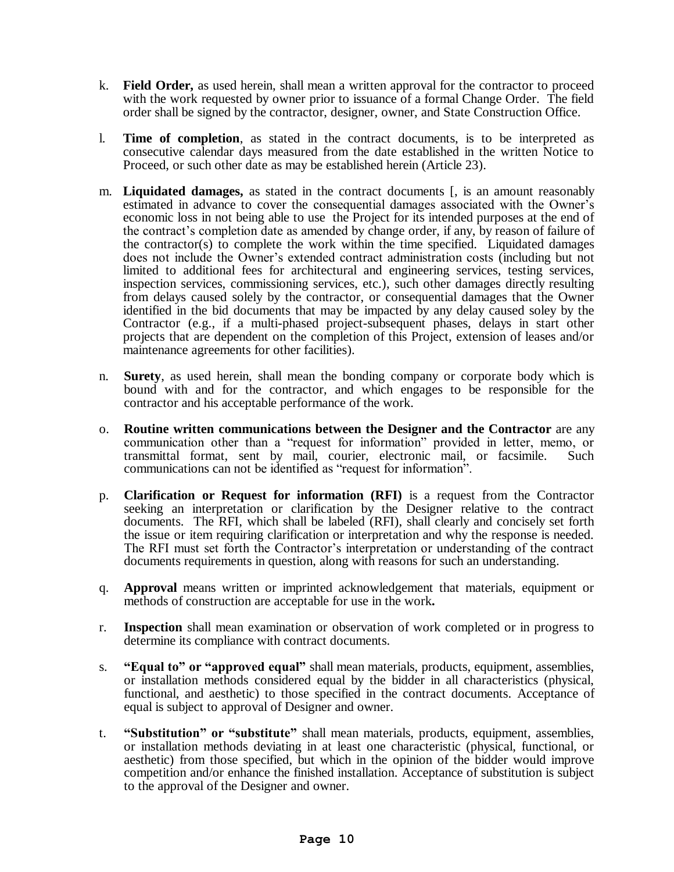- k. **Field Order,** as used herein, shall mean a written approval for the contractor to proceed with the work requested by owner prior to issuance of a formal Change Order. The field order shall be signed by the contractor, designer, owner, and State Construction Office.
- l. **Time of completion**, as stated in the contract documents, is to be interpreted as consecutive calendar days measured from the date established in the written Notice to Proceed, or such other date as may be established herein (Article 23).
- m. **Liquidated damages,** as stated in the contract documents [, is an amount reasonably estimated in advance to cover the consequential damages associated with the Owner's economic loss in not being able to use the Project for its intended purposes at the end of the contract's completion date as amended by change order, if any, by reason of failure of the contractor(s) to complete the work within the time specified. Liquidated damages does not include the Owner's extended contract administration costs (including but not limited to additional fees for architectural and engineering services, testing services, inspection services, commissioning services, etc.), such other damages directly resulting from delays caused solely by the contractor, or consequential damages that the Owner identified in the bid documents that may be impacted by any delay caused soley by the Contractor (e.g., if a multi-phased project-subsequent phases, delays in start other projects that are dependent on the completion of this Project, extension of leases and/or maintenance agreements for other facilities).
- n. **Surety**, as used herein, shall mean the bonding company or corporate body which is bound with and for the contractor, and which engages to be responsible for the contractor and his acceptable performance of the work.
- o. **Routine written communications between the Designer and the Contractor** are any communication other than a "request for information" provided in letter, memo, or transmittal format, sent by mail, courier, electronic mail, or facsimile. Such communications can not be identified as "request for information".
- p. **Clarification or Request for information (RFI)** is a request from the Contractor seeking an interpretation or clarification by the Designer relative to the contract documents. The RFI, which shall be labeled (RFI), shall clearly and concisely set forth the issue or item requiring clarification or interpretation and why the response is needed. The RFI must set forth the Contractor's interpretation or understanding of the contract documents requirements in question, along with reasons for such an understanding.
- q. **Approval** means written or imprinted acknowledgement that materials, equipment or methods of construction are acceptable for use in the work*.*
- r. **Inspection** shall mean examination or observation of work completed or in progress to determine its compliance with contract documents.
- s. **"Equal to" or "approved equal"** shall mean materials, products, equipment, assemblies, or installation methods considered equal by the bidder in all characteristics (physical, functional, and aesthetic) to those specified in the contract documents. Acceptance of equal is subject to approval of Designer and owner.
- t. **"Substitution" or "substitute"** shall mean materials, products, equipment, assemblies, or installation methods deviating in at least one characteristic (physical, functional, or aesthetic) from those specified, but which in the opinion of the bidder would improve competition and/or enhance the finished installation. Acceptance of substitution is subject to the approval of the Designer and owner.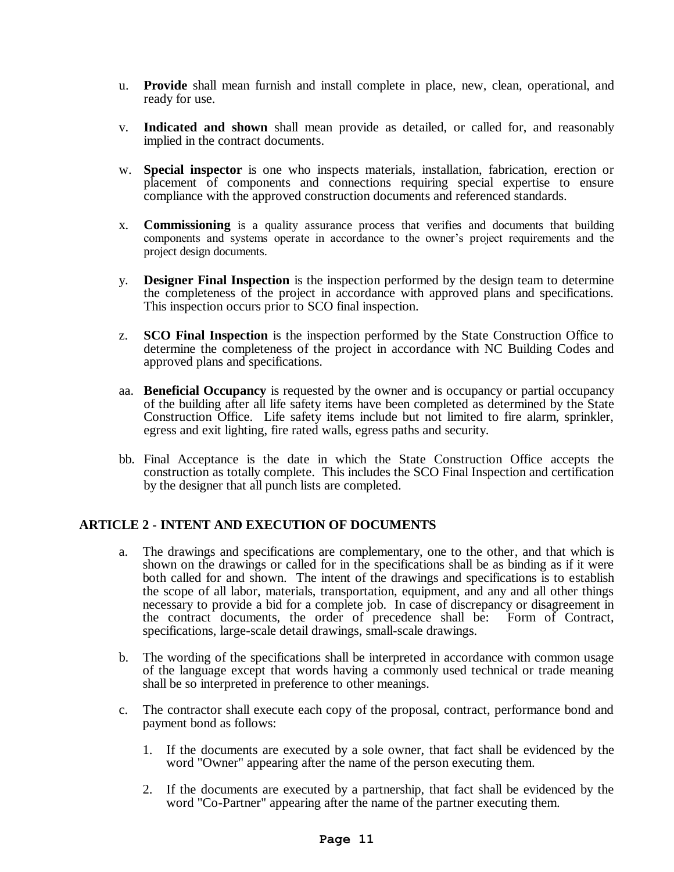- u. **Provide** shall mean furnish and install complete in place, new, clean, operational, and ready for use.
- v. **Indicated and shown** shall mean provide as detailed, or called for, and reasonably implied in the contract documents.
- w. **Special inspector** is one who inspects materials, installation, fabrication, erection or placement of components and connections requiring special expertise to ensure compliance with the approved construction documents and referenced standards.
- x. **Commissioning** is a quality assurance process that verifies and documents that building components and systems operate in accordance to the owner's project requirements and the project design documents.
- y. **Designer Final Inspection** is the inspection performed by the design team to determine the completeness of the project in accordance with approved plans and specifications. This inspection occurs prior to SCO final inspection.
- z. **SCO Final Inspection** is the inspection performed by the State Construction Office to determine the completeness of the project in accordance with NC Building Codes and approved plans and specifications.
- aa. **Beneficial Occupancy** is requested by the owner and is occupancy or partial occupancy of the building after all life safety items have been completed as determined by the State Construction Office. Life safety items include but not limited to fire alarm, sprinkler, egress and exit lighting, fire rated walls, egress paths and security.
- bb. Final Acceptance is the date in which the State Construction Office accepts the construction as totally complete. This includes the SCO Final Inspection and certification by the designer that all punch lists are completed.

# **ARTICLE 2 - INTENT AND EXECUTION OF DOCUMENTS**

- a. The drawings and specifications are complementary, one to the other, and that which is shown on the drawings or called for in the specifications shall be as binding as if it were both called for and shown. The intent of the drawings and specifications is to establish the scope of all labor, materials, transportation, equipment, and any and all other things necessary to provide a bid for a complete job. In case of discrepancy or disagreement in the contract documents, the order of precedence shall be: Form of Contract, the contract documents, the order of precedence shall be: specifications, large-scale detail drawings, small-scale drawings.
- b. The wording of the specifications shall be interpreted in accordance with common usage of the language except that words having a commonly used technical or trade meaning shall be so interpreted in preference to other meanings.
- c. The contractor shall execute each copy of the proposal, contract, performance bond and payment bond as follows:
	- 1. If the documents are executed by a sole owner, that fact shall be evidenced by the word "Owner" appearing after the name of the person executing them.
	- 2. If the documents are executed by a partnership, that fact shall be evidenced by the word "Co-Partner" appearing after the name of the partner executing them.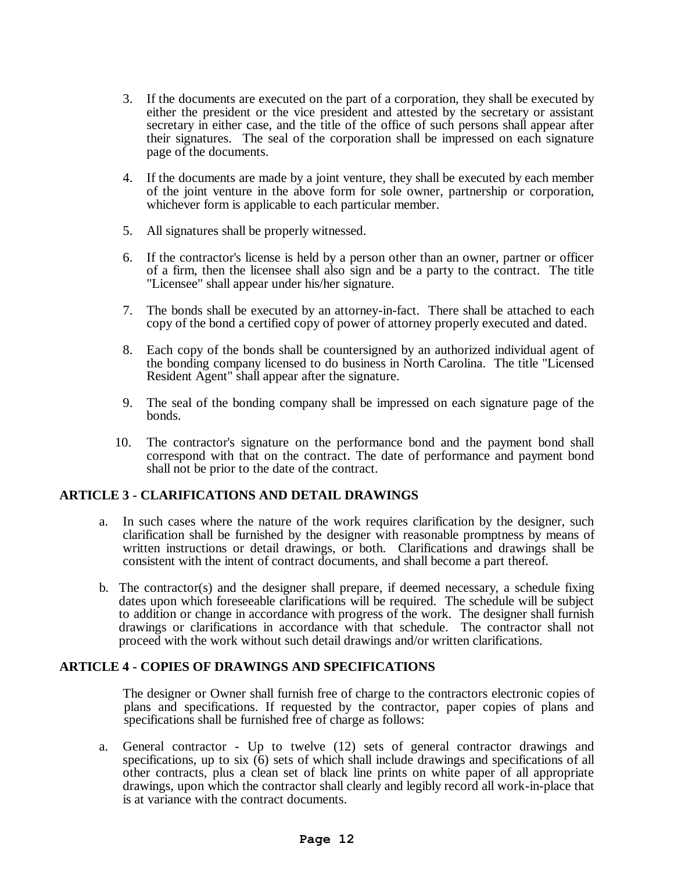- 3. If the documents are executed on the part of a corporation, they shall be executed by either the president or the vice president and attested by the secretary or assistant secretary in either case, and the title of the office of such persons shall appear after their signatures. The seal of the corporation shall be impressed on each signature page of the documents.
- 4. If the documents are made by a joint venture, they shall be executed by each member of the joint venture in the above form for sole owner, partnership or corporation, whichever form is applicable to each particular member.
- 5. All signatures shall be properly witnessed.
- 6. If the contractor's license is held by a person other than an owner, partner or officer of a firm, then the licensee shall also sign and be a party to the contract. The title "Licensee" shall appear under his/her signature.
- 7. The bonds shall be executed by an attorney-in-fact. There shall be attached to each copy of the bond a certified copy of power of attorney properly executed and dated.
- 8. Each copy of the bonds shall be countersigned by an authorized individual agent of the bonding company licensed to do business in North Carolina. The title "Licensed Resident Agent" shall appear after the signature.
- 9. The seal of the bonding company shall be impressed on each signature page of the bonds.
- 10. The contractor's signature on the performance bond and the payment bond shall correspond with that on the contract. The date of performance and payment bond shall not be prior to the date of the contract.

#### **ARTICLE 3 - CLARIFICATIONS AND DETAIL DRAWINGS**

- a. In such cases where the nature of the work requires clarification by the designer, such clarification shall be furnished by the designer with reasonable promptness by means of written instructions or detail drawings, or both. Clarifications and drawings shall be consistent with the intent of contract documents, and shall become a part thereof.
- b. The contractor(s) and the designer shall prepare, if deemed necessary, a schedule fixing dates upon which foreseeable clarifications will be required. The schedule will be subject to addition or change in accordance with progress of the work. The designer shall furnish drawings or clarifications in accordance with that schedule. The contractor shall not proceed with the work without such detail drawings and/or written clarifications.

# **ARTICLE 4 - COPIES OF DRAWINGS AND SPECIFICATIONS**

The designer or Owner shall furnish free of charge to the contractors electronic copies of plans and specifications. If requested by the contractor, paper copies of plans and specifications shall be furnished free of charge as follows:

a. General contractor - Up to twelve (12) sets of general contractor drawings and specifications, up to six (6) sets of which shall include drawings and specifications of all other contracts, plus a clean set of black line prints on white paper of all appropriate drawings, upon which the contractor shall clearly and legibly record all work-in-place that is at variance with the contract documents.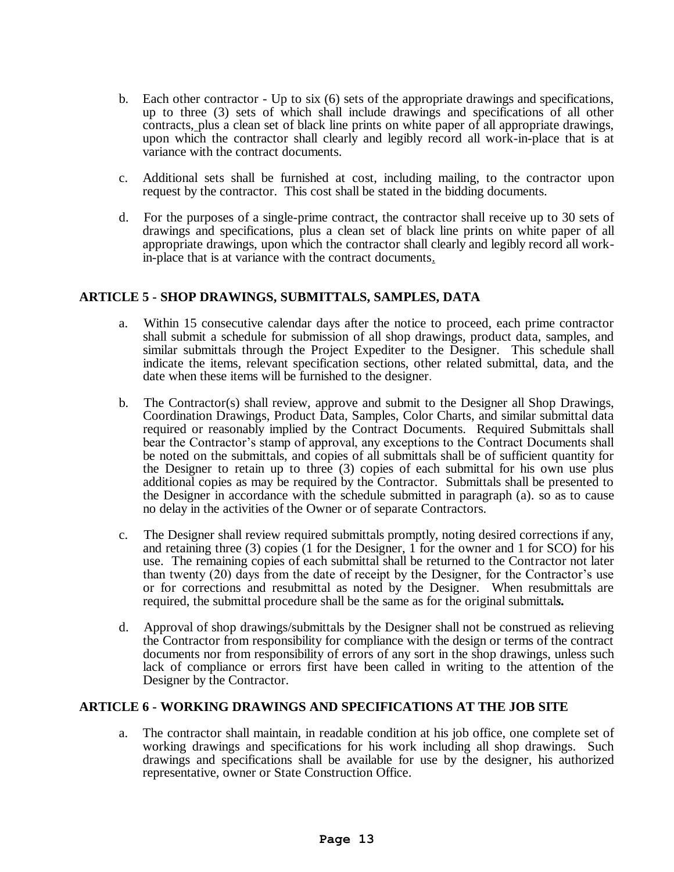- b. Each other contractor Up to six (6) sets of the appropriate drawings and specifications, up to three (3) sets of which shall include drawings and specifications of all other contracts, plus a clean set of black line prints on white paper of all appropriate drawings, upon which the contractor shall clearly and legibly record all work-in-place that is at variance with the contract documents.
- c. Additional sets shall be furnished at cost, including mailing, to the contractor upon request by the contractor. This cost shall be stated in the bidding documents.
- d. For the purposes of a single-prime contract, the contractor shall receive up to 30 sets of drawings and specifications, plus a clean set of black line prints on white paper of all appropriate drawings, upon which the contractor shall clearly and legibly record all workin-place that is at variance with the contract documents.

# **ARTICLE 5 - SHOP DRAWINGS, SUBMITTALS, SAMPLES, DATA**

- a. Within 15 consecutive calendar days after the notice to proceed, each prime contractor shall submit a schedule for submission of all shop drawings, product data, samples, and similar submittals through the Project Expediter to the Designer. This schedule shall indicate the items, relevant specification sections, other related submittal, data, and the date when these items will be furnished to the designer.
- b. The Contractor(s) shall review, approve and submit to the Designer all Shop Drawings, Coordination Drawings, Product Data, Samples, Color Charts, and similar submittal data required or reasonably implied by the Contract Documents. Required Submittals shall bear the Contractor's stamp of approval, any exceptions to the Contract Documents shall be noted on the submittals, and copies of all submittals shall be of sufficient quantity for the Designer to retain up to three (3) copies of each submittal for his own use plus additional copies as may be required by the Contractor. Submittals shall be presented to the Designer in accordance with the schedule submitted in paragraph (a). so as to cause no delay in the activities of the Owner or of separate Contractors.
- c. The Designer shall review required submittals promptly, noting desired corrections if any, and retaining three (3) copies (1 for the Designer, 1 for the owner and 1 for SCO) for his use. The remaining copies of each submittal shall be returned to the Contractor not later than twenty (20) days from the date of receipt by the Designer, for the Contractor's use or for corrections and resubmittal as noted by the Designer. When resubmittals are required, the submittal procedure shall be the same as for the original submittal*s.*
- d. Approval of shop drawings/submittals by the Designer shall not be construed as relieving the Contractor from responsibility for compliance with the design or terms of the contract documents nor from responsibility of errors of any sort in the shop drawings, unless such lack of compliance or errors first have been called in writing to the attention of the Designer by the Contractor.

# **ARTICLE 6 - WORKING DRAWINGS AND SPECIFICATIONS AT THE JOB SITE**

a. The contractor shall maintain, in readable condition at his job office, one complete set of working drawings and specifications for his work including all shop drawings. Such drawings and specifications shall be available for use by the designer, his authorized representative, owner or State Construction Office.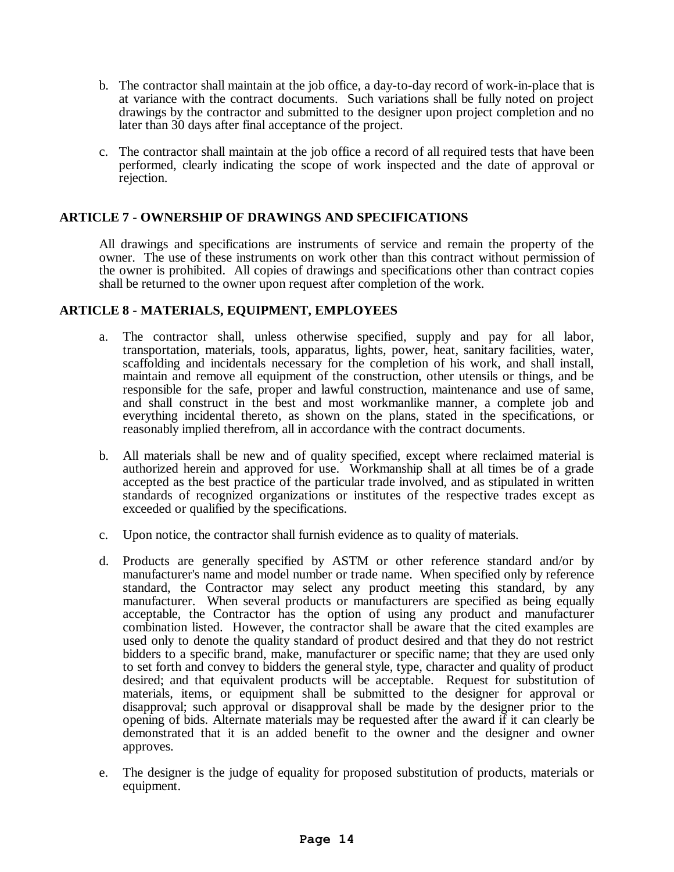- b. The contractor shall maintain at the job office, a day-to-day record of work-in-place that is at variance with the contract documents. Such variations shall be fully noted on project drawings by the contractor and submitted to the designer upon project completion and no later than 30 days after final acceptance of the project.
- c. The contractor shall maintain at the job office a record of all required tests that have been performed, clearly indicating the scope of work inspected and the date of approval or rejection.

# **ARTICLE 7 - OWNERSHIP OF DRAWINGS AND SPECIFICATIONS**

All drawings and specifications are instruments of service and remain the property of the owner. The use of these instruments on work other than this contract without permission of the owner is prohibited. All copies of drawings and specifications other than contract copies shall be returned to the owner upon request after completion of the work.

# **ARTICLE 8 - MATERIALS, EQUIPMENT, EMPLOYEES**

- a. The contractor shall, unless otherwise specified, supply and pay for all labor, transportation, materials, tools, apparatus, lights, power, heat, sanitary facilities, water, scaffolding and incidentals necessary for the completion of his work, and shall install, maintain and remove all equipment of the construction, other utensils or things, and be responsible for the safe, proper and lawful construction, maintenance and use of same, and shall construct in the best and most workmanlike manner, a complete job and everything incidental thereto, as shown on the plans, stated in the specifications, or reasonably implied therefrom, all in accordance with the contract documents.
- b. All materials shall be new and of quality specified, except where reclaimed material is authorized herein and approved for use. Workmanship shall at all times be of a grade accepted as the best practice of the particular trade involved, and as stipulated in written standards of recognized organizations or institutes of the respective trades except as exceeded or qualified by the specifications.
- c. Upon notice, the contractor shall furnish evidence as to quality of materials.
- d. Products are generally specified by ASTM or other reference standard and/or by manufacturer's name and model number or trade name. When specified only by reference standard, the Contractor may select any product meeting this standard, by any manufacturer. When several products or manufacturers are specified as being equally acceptable, the Contractor has the option of using any product and manufacturer combination listed. However, the contractor shall be aware that the cited examples are used only to denote the quality standard of product desired and that they do not restrict bidders to a specific brand, make, manufacturer or specific name; that they are used only to set forth and convey to bidders the general style, type, character and quality of product desired; and that equivalent products will be acceptable. Request for substitution of materials, items, or equipment shall be submitted to the designer for approval or disapproval; such approval or disapproval shall be made by the designer prior to the opening of bids. Alternate materials may be requested after the award if it can clearly be demonstrated that it is an added benefit to the owner and the designer and owner approves.
- e. The designer is the judge of equality for proposed substitution of products, materials or equipment.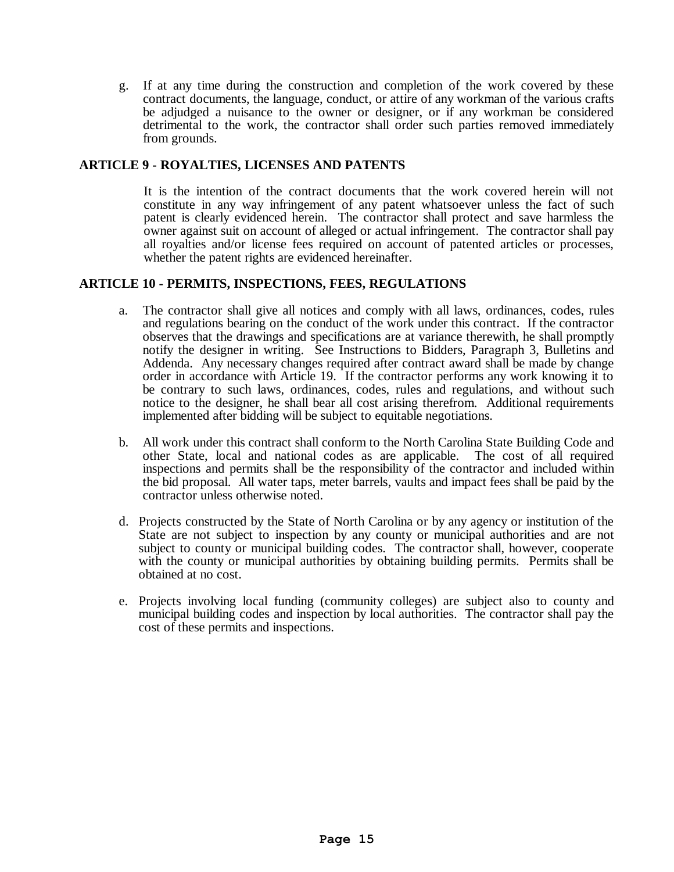g. If at any time during the construction and completion of the work covered by these contract documents, the language, conduct, or attire of any workman of the various crafts be adjudged a nuisance to the owner or designer, or if any workman be considered detrimental to the work, the contractor shall order such parties removed immediately from grounds.

# **ARTICLE 9 - ROYALTIES, LICENSES AND PATENTS**

It is the intention of the contract documents that the work covered herein will not constitute in any way infringement of any patent whatsoever unless the fact of such patent is clearly evidenced herein. The contractor shall protect and save harmless the owner against suit on account of alleged or actual infringement. The contractor shall pay all royalties and/or license fees required on account of patented articles or processes, whether the patent rights are evidenced hereinafter.

# **ARTICLE 10 - PERMITS, INSPECTIONS, FEES, REGULATIONS**

- a. The contractor shall give all notices and comply with all laws, ordinances, codes, rules and regulations bearing on the conduct of the work under this contract. If the contractor observes that the drawings and specifications are at variance therewith, he shall promptly notify the designer in writing. See Instructions to Bidders, Paragraph 3, Bulletins and Addenda. Any necessary changes required after contract award shall be made by change order in accordance with Article 19. If the contractor performs any work knowing it to be contrary to such laws, ordinances, codes, rules and regulations, and without such notice to the designer, he shall bear all cost arising therefrom. Additional requirements implemented after bidding will be subject to equitable negotiations.
- b. All work under this contract shall conform to the North Carolina State Building Code and other State, local and national codes as are applicable. The cost of all required inspections and permits shall be the responsibility of the contractor and included within the bid proposal. All water taps, meter barrels, vaults and impact fees shall be paid by the contractor unless otherwise noted.
- d. Projects constructed by the State of North Carolina or by any agency or institution of the State are not subject to inspection by any county or municipal authorities and are not subject to county or municipal building codes. The contractor shall, however, cooperate with the county or municipal authorities by obtaining building permits. Permits shall be obtained at no cost.
- e. Projects involving local funding (community colleges) are subject also to county and municipal building codes and inspection by local authorities. The contractor shall pay the cost of these permits and inspections.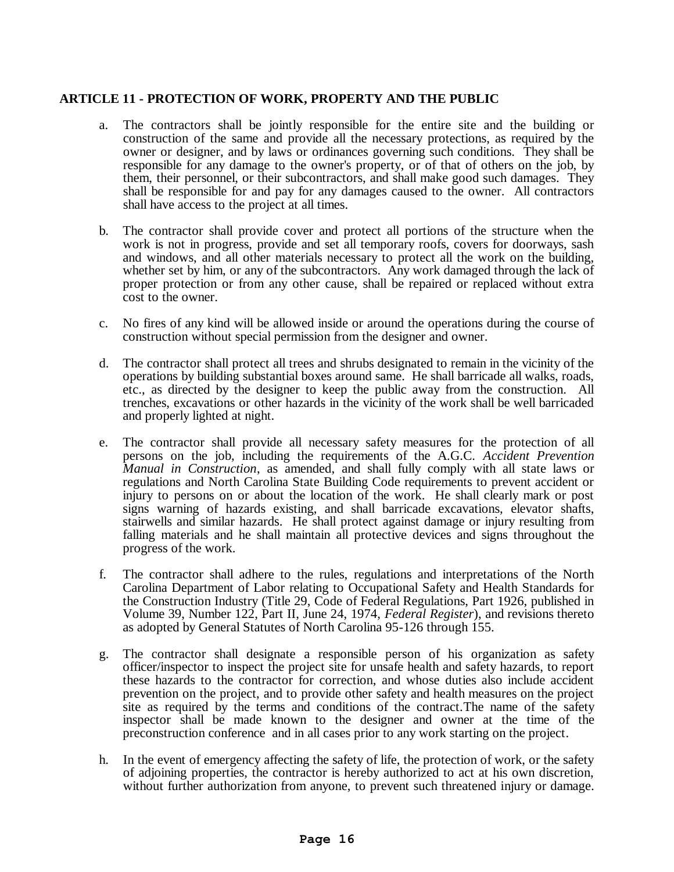# **ARTICLE 11 - PROTECTION OF WORK, PROPERTY AND THE PUBLIC**

- a. The contractors shall be jointly responsible for the entire site and the building or construction of the same and provide all the necessary protections, as required by the owner or designer, and by laws or ordinances governing such conditions. They shall be responsible for any damage to the owner's property, or of that of others on the job, by them, their personnel, or their subcontractors, and shall make good such damages. They shall be responsible for and pay for any damages caused to the owner. All contractors shall have access to the project at all times.
- b. The contractor shall provide cover and protect all portions of the structure when the work is not in progress, provide and set all temporary roofs, covers for doorways, sash and windows, and all other materials necessary to protect all the work on the building, whether set by him, or any of the subcontractors. Any work damaged through the lack of proper protection or from any other cause, shall be repaired or replaced without extra cost to the owner.
- c. No fires of any kind will be allowed inside or around the operations during the course of construction without special permission from the designer and owner.
- d. The contractor shall protect all trees and shrubs designated to remain in the vicinity of the operations by building substantial boxes around same. He shall barricade all walks, roads, etc., as directed by the designer to keep the public away from the construction. All trenches, excavations or other hazards in the vicinity of the work shall be well barricaded and properly lighted at night.
- e. The contractor shall provide all necessary safety measures for the protection of all persons on the job, including the requirements of the A.G.C. *Accident Prevention Manual in Construction*, as amended, and shall fully comply with all state laws or regulations and North Carolina State Building Code requirements to prevent accident or injury to persons on or about the location of the work. He shall clearly mark or post signs warning of hazards existing, and shall barricade excavations, elevator shafts, stairwells and similar hazards. He shall protect against damage or injury resulting from falling materials and he shall maintain all protective devices and signs throughout the progress of the work.
- f. The contractor shall adhere to the rules, regulations and interpretations of the North Carolina Department of Labor relating to Occupational Safety and Health Standards for the Construction Industry (Title 29, Code of Federal Regulations, Part 1926, published in Volume 39, Number 122, Part II, June 24, 1974, *Federal Register*), and revisions thereto as adopted by General Statutes of North Carolina 95-126 through 155.
- g. The contractor shall designate a responsible person of his organization as safety officer/inspector to inspect the project site for unsafe health and safety hazards, to report these hazards to the contractor for correction, and whose duties also include accident prevention on the project, and to provide other safety and health measures on the project site as required by the terms and conditions of the contract.The name of the safety inspector shall be made known to the designer and owner at the time of the preconstruction conference and in all cases prior to any work starting on the project.
- h. In the event of emergency affecting the safety of life, the protection of work, or the safety of adjoining properties, the contractor is hereby authorized to act at his own discretion, without further authorization from anyone, to prevent such threatened injury or damage.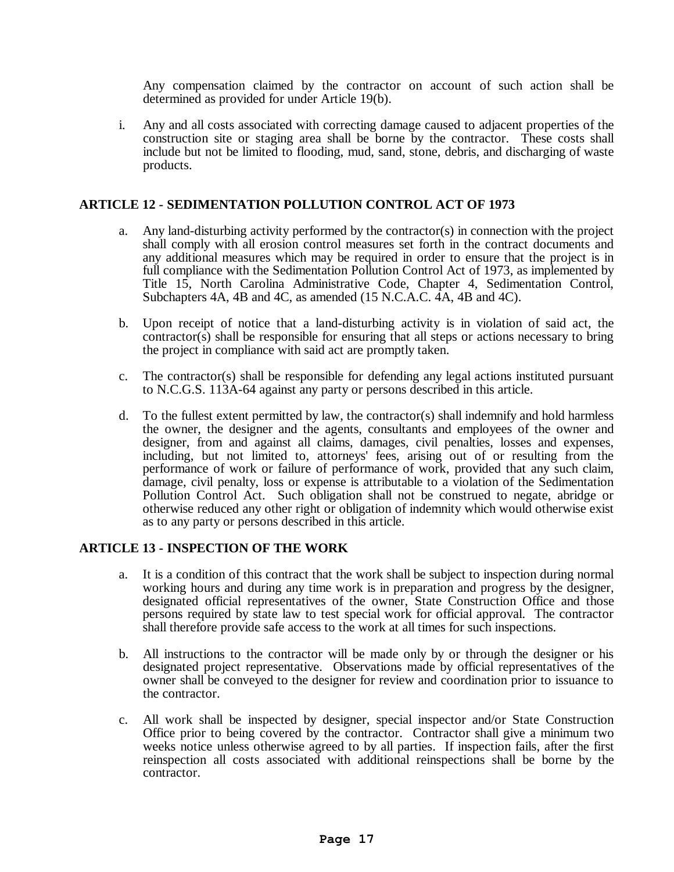Any compensation claimed by the contractor on account of such action shall be determined as provided for under Article 19(b).

i. Any and all costs associated with correcting damage caused to adjacent properties of the construction site or staging area shall be borne by the contractor. These costs shall include but not be limited to flooding, mud, sand, stone, debris, and discharging of waste products.

#### **ARTICLE 12 - SEDIMENTATION POLLUTION CONTROL ACT OF 1973**

- a. Any land-disturbing activity performed by the contractor(s) in connection with the project shall comply with all erosion control measures set forth in the contract documents and any additional measures which may be required in order to ensure that the project is in full compliance with the Sedimentation Pollution Control Act of 1973, as implemented by Title 15, North Carolina Administrative Code, Chapter 4, Sedimentation Control, Subchapters 4A, 4B and 4C, as amended (15 N.C.A.C. 4A, 4B and 4C).
- b. Upon receipt of notice that a land-disturbing activity is in violation of said act, the contractor(s) shall be responsible for ensuring that all steps or actions necessary to bring the project in compliance with said act are promptly taken.
- c. The contractor(s) shall be responsible for defending any legal actions instituted pursuant to N.C.G.S. 113A-64 against any party or persons described in this article.
- d. To the fullest extent permitted by law, the contractor(s) shall indemnify and hold harmless the owner, the designer and the agents, consultants and employees of the owner and designer, from and against all claims, damages, civil penalties, losses and expenses, including, but not limited to, attorneys' fees, arising out of or resulting from the performance of work or failure of performance of work, provided that any such claim, damage, civil penalty, loss or expense is attributable to a violation of the Sedimentation Pollution Control Act. Such obligation shall not be construed to negate, abridge or otherwise reduced any other right or obligation of indemnity which would otherwise exist as to any party or persons described in this article.

#### **ARTICLE 13 - INSPECTION OF THE WORK**

- a. It is a condition of this contract that the work shall be subject to inspection during normal working hours and during any time work is in preparation and progress by the designer, designated official representatives of the owner, State Construction Office and those persons required by state law to test special work for official approval. The contractor shall therefore provide safe access to the work at all times for such inspections.
- b. All instructions to the contractor will be made only by or through the designer or his designated project representative. Observations made by official representatives of the owner shall be conveyed to the designer for review and coordination prior to issuance to the contractor.
- c. All work shall be inspected by designer, special inspector and/or State Construction Office prior to being covered by the contractor. Contractor shall give a minimum two weeks notice unless otherwise agreed to by all parties. If inspection fails, after the first reinspection all costs associated with additional reinspections shall be borne by the contractor.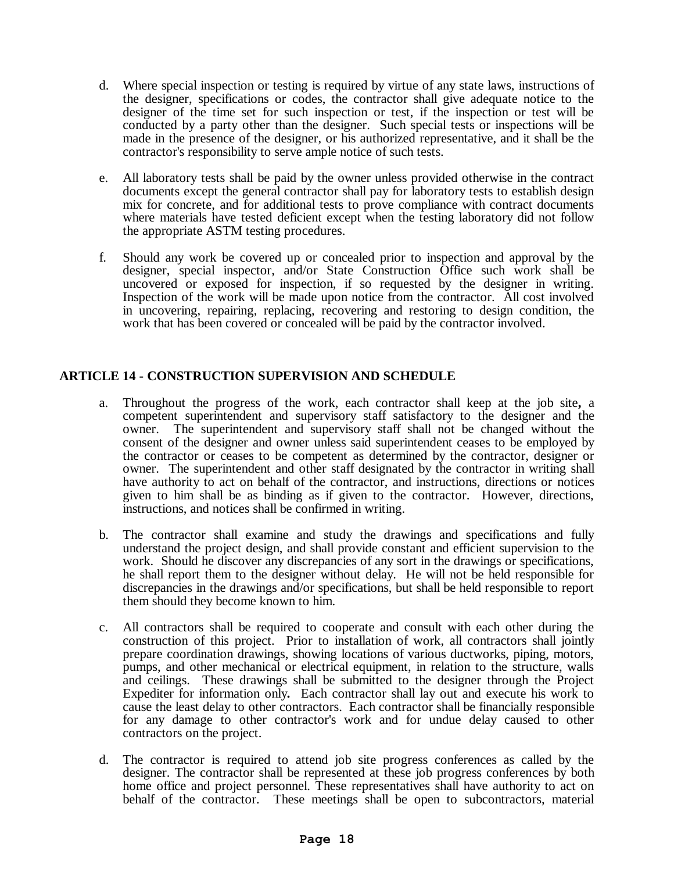- d. Where special inspection or testing is required by virtue of any state laws, instructions of the designer, specifications or codes, the contractor shall give adequate notice to the designer of the time set for such inspection or test, if the inspection or test will be conducted by a party other than the designer. Such special tests or inspections will be made in the presence of the designer, or his authorized representative, and it shall be the contractor's responsibility to serve ample notice of such tests.
- e. All laboratory tests shall be paid by the owner unless provided otherwise in the contract documents except the general contractor shall pay for laboratory tests to establish design mix for concrete, and for additional tests to prove compliance with contract documents where materials have tested deficient except when the testing laboratory did not follow the appropriate ASTM testing procedures.
- f. Should any work be covered up or concealed prior to inspection and approval by the designer, special inspector, and/or State Construction Office such work shall be uncovered or exposed for inspection, if so requested by the designer in writing. Inspection of the work will be made upon notice from the contractor. All cost involved in uncovering, repairing, replacing, recovering and restoring to design condition, the work that has been covered or concealed will be paid by the contractor involved.

# **ARTICLE 14 - CONSTRUCTION SUPERVISION AND SCHEDULE**

- a. Throughout the progress of the work, each contractor shall keep at the job site*,* a competent superintendent and supervisory staff satisfactory to the designer and the owner. The superintendent and supervisory staff shall not be changed without the consent of the designer and owner unless said superintendent ceases to be employed by the contractor or ceases to be competent as determined by the contractor, designer or owner. The superintendent and other staff designated by the contractor in writing shall have authority to act on behalf of the contractor, and instructions, directions or notices given to him shall be as binding as if given to the contractor. However, directions, instructions, and notices shall be confirmed in writing.
- b. The contractor shall examine and study the drawings and specifications and fully understand the project design, and shall provide constant and efficient supervision to the work. Should he discover any discrepancies of any sort in the drawings or specifications, he shall report them to the designer without delay. He will not be held responsible for discrepancies in the drawings and/or specifications, but shall be held responsible to report them should they become known to him.
- c. All contractors shall be required to cooperate and consult with each other during the construction of this project. Prior to installation of work, all contractors shall jointly prepare coordination drawings, showing locations of various ductworks, piping, motors, pumps, and other mechanical or electrical equipment, in relation to the structure, walls and ceilings. These drawings shall be submitted to the designer through the Project Expediter for information only*.* Each contractor shall lay out and execute his work to cause the least delay to other contractors. Each contractor shall be financially responsible for any damage to other contractor's work and for undue delay caused to other contractors on the project.
- d. The contractor is required to attend job site progress conferences as called by the designer. The contractor shall be represented at these job progress conferences by both home office and project personnel. These representatives shall have authority to act on behalf of the contractor. These meetings shall be open to subcontractors, material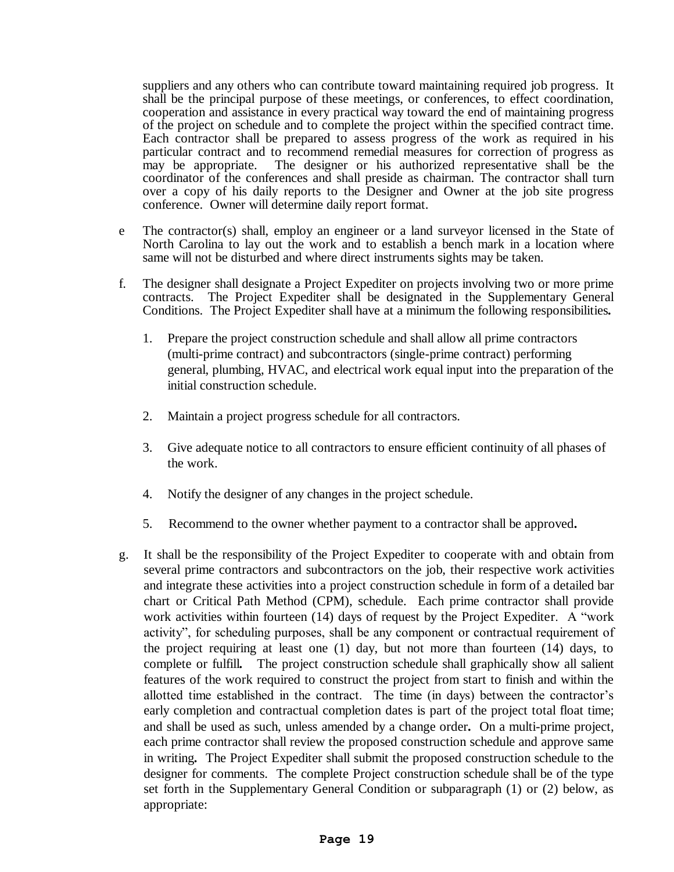suppliers and any others who can contribute toward maintaining required job progress. It shall be the principal purpose of these meetings, or conferences, to effect coordination, cooperation and assistance in every practical way toward the end of maintaining progress of the project on schedule and to complete the project within the specified contract time. Each contractor shall be prepared to assess progress of the work as required in his particular contract and to recommend remedial measures for correction of progress as may be appropriate. The designer or his authorized representative shall be the coordinator of the conferences and shall preside as chairman. The contractor shall turn over a copy of his daily reports to the Designer and Owner at the job site progress conference. Owner will determine daily report format.

- e The contractor(s) shall, employ an engineer or a land surveyor licensed in the State of North Carolina to lay out the work and to establish a bench mark in a location where same will not be disturbed and where direct instruments sights may be taken.
- f. The designer shall designate a Project Expediter on projects involving two or more prime contracts. The Project Expediter shall be designated in the Supplementary General Conditions. The Project Expediter shall have at a minimum the following responsibilities*.*
	- 1. Prepare the project construction schedule and shall allow all prime contractors (multi-prime contract) and subcontractors (single-prime contract) performing general, plumbing, HVAC, and electrical work equal input into the preparation of the initial construction schedule.
	- 2. Maintain a project progress schedule for all contractors.
	- 3. Give adequate notice to all contractors to ensure efficient continuity of all phases of the work.
	- 4. Notify the designer of any changes in the project schedule.
	- 5. Recommend to the owner whether payment to a contractor shall be approved*.*
- g. It shall be the responsibility of the Project Expediter to cooperate with and obtain from several prime contractors and subcontractors on the job, their respective work activities and integrate these activities into a project construction schedule in form of a detailed bar chart or Critical Path Method (CPM), schedule. Each prime contractor shall provide work activities within fourteen (14) days of request by the Project Expediter. A "work activity", for scheduling purposes, shall be any component or contractual requirement of the project requiring at least one (1) day, but not more than fourteen (14) days, to complete or fulfill*.* The project construction schedule shall graphically show all salient features of the work required to construct the project from start to finish and within the allotted time established in the contract. The time (in days) between the contractor's early completion and contractual completion dates is part of the project total float time; and shall be used as such, unless amended by a change order*.* On a multi-prime project, each prime contractor shall review the proposed construction schedule and approve same in writing*.* The Project Expediter shall submit the proposed construction schedule to the designer for comments. The complete Project construction schedule shall be of the type set forth in the Supplementary General Condition or subparagraph (1) or (2) below, as appropriate: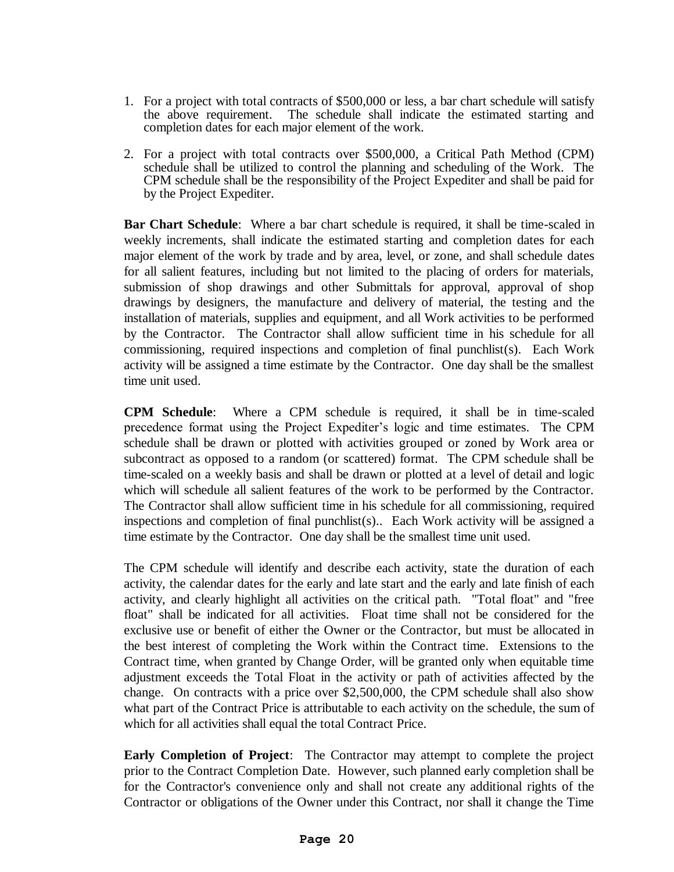- 1. For a project with total contracts of \$500,000 or less, a bar chart schedule will satisfy the above requirement. The schedule shall indicate the estimated starting and completion dates for each major element of the work.
- 2. For a project with total contracts over \$500,000, a Critical Path Method (CPM) schedule shall be utilized to control the planning and scheduling of the Work. The CPM schedule shall be the responsibility of the Project Expediter and shall be paid for by the Project Expediter.

**Bar Chart Schedule**: Where a bar chart schedule is required, it shall be time-scaled in weekly increments, shall indicate the estimated starting and completion dates for each major element of the work by trade and by area, level, or zone, and shall schedule dates for all salient features, including but not limited to the placing of orders for materials, submission of shop drawings and other Submittals for approval, approval of shop drawings by designers, the manufacture and delivery of material, the testing and the installation of materials, supplies and equipment, and all Work activities to be performed by the Contractor. The Contractor shall allow sufficient time in his schedule for all commissioning, required inspections and completion of final punchlist(s). Each Work activity will be assigned a time estimate by the Contractor. One day shall be the smallest time unit used.

**CPM Schedule**: Where a CPM schedule is required, it shall be in time-scaled precedence format using the Project Expediter's logic and time estimates. The CPM schedule shall be drawn or plotted with activities grouped or zoned by Work area or subcontract as opposed to a random (or scattered) format. The CPM schedule shall be time-scaled on a weekly basis and shall be drawn or plotted at a level of detail and logic which will schedule all salient features of the work to be performed by the Contractor. The Contractor shall allow sufficient time in his schedule for all commissioning, required inspections and completion of final punchlist(s).. Each Work activity will be assigned a time estimate by the Contractor. One day shall be the smallest time unit used.

The CPM schedule will identify and describe each activity, state the duration of each activity, the calendar dates for the early and late start and the early and late finish of each activity, and clearly highlight all activities on the critical path. "Total float" and "free float" shall be indicated for all activities. Float time shall not be considered for the exclusive use or benefit of either the Owner or the Contractor, but must be allocated in the best interest of completing the Work within the Contract time. Extensions to the Contract time, when granted by Change Order, will be granted only when equitable time adjustment exceeds the Total Float in the activity or path of activities affected by the change. On contracts with a price over \$2,500,000, the CPM schedule shall also show what part of the Contract Price is attributable to each activity on the schedule, the sum of which for all activities shall equal the total Contract Price.

**Early Completion of Project**: The Contractor may attempt to complete the project prior to the Contract Completion Date. However, such planned early completion shall be for the Contractor's convenience only and shall not create any additional rights of the Contractor or obligations of the Owner under this Contract, nor shall it change the Time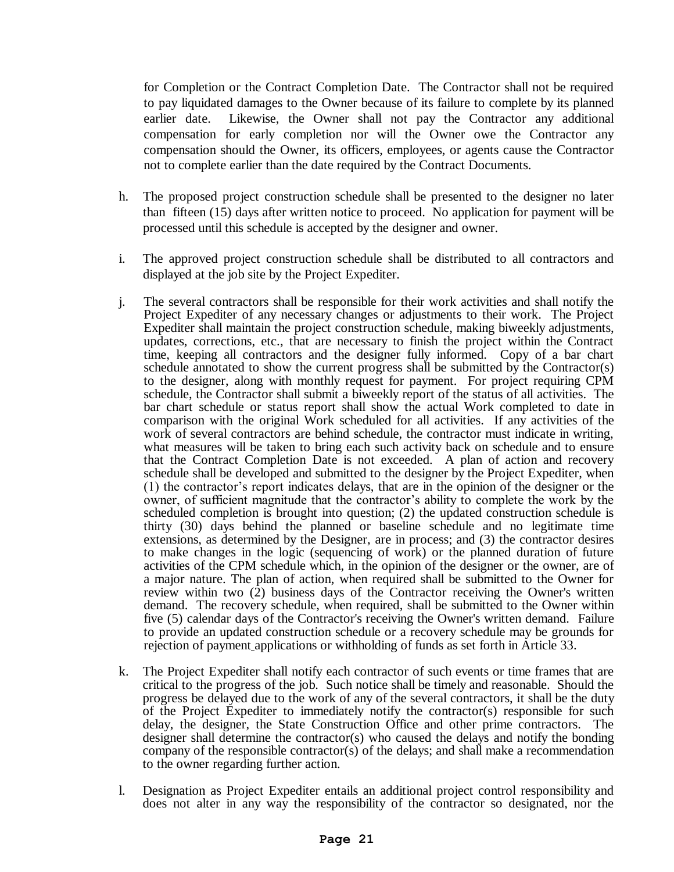for Completion or the Contract Completion Date. The Contractor shall not be required to pay liquidated damages to the Owner because of its failure to complete by its planned earlier date. Likewise, the Owner shall not pay the Contractor any additional compensation for early completion nor will the Owner owe the Contractor any compensation should the Owner, its officers, employees, or agents cause the Contractor not to complete earlier than the date required by the Contract Documents.

- h. The proposed project construction schedule shall be presented to the designer no later than fifteen (15) days after written notice to proceed. No application for payment will be processed until this schedule is accepted by the designer and owner.
- i. The approved project construction schedule shall be distributed to all contractors and displayed at the job site by the Project Expediter.
- j. The several contractors shall be responsible for their work activities and shall notify the Project Expediter of any necessary changes or adjustments to their work. The Project Expediter shall maintain the project construction schedule, making biweekly adjustments, updates, corrections, etc., that are necessary to finish the project within the Contract time, keeping all contractors and the designer fully informed. Copy of a bar chart schedule annotated to show the current progress shall be submitted by the Contractor(s) to the designer, along with monthly request for payment. For project requiring CPM schedule, the Contractor shall submit a biweekly report of the status of all activities. The bar chart schedule or status report shall show the actual Work completed to date in comparison with the original Work scheduled for all activities. If any activities of the work of several contractors are behind schedule, the contractor must indicate in writing, what measures will be taken to bring each such activity back on schedule and to ensure that the Contract Completion Date is not exceeded. A plan of action and recovery schedule shall be developed and submitted to the designer by the Project Expediter, when (1) the contractor's report indicates delays, that are in the opinion of the designer or the owner, of sufficient magnitude that the contractor's ability to complete the work by the scheduled completion is brought into question; (2) the updated construction schedule is thirty (30) days behind the planned or baseline schedule and no legitimate time extensions, as determined by the Designer, are in process; and (3) the contractor desires to make changes in the logic (sequencing of work) or the planned duration of future activities of the CPM schedule which, in the opinion of the designer or the owner, are of a major nature. The plan of action, when required shall be submitted to the Owner for review within two  $(2)$  business days of the Contractor receiving the Owner's written demand. The recovery schedule, when required, shall be submitted to the Owner within five (5) calendar days of the Contractor's receiving the Owner's written demand. Failure to provide an updated construction schedule or a recovery schedule may be grounds for rejection of payment applications or withholding of funds as set forth in Article 33.
- k. The Project Expediter shall notify each contractor of such events or time frames that are critical to the progress of the job. Such notice shall be timely and reasonable. Should the progress be delayed due to the work of any of the several contractors, it shall be the duty of the Project Expediter to immediately notify the contractor(s) responsible for such delay, the designer, the State Construction Office and other prime contractors. The designer shall determine the contractor(s) who caused the delays and notify the bonding company of the responsible contractor(s) of the delays; and shall make a recommendation to the owner regarding further action.
- l. Designation as Project Expediter entails an additional project control responsibility and does not alter in any way the responsibility of the contractor so designated, nor the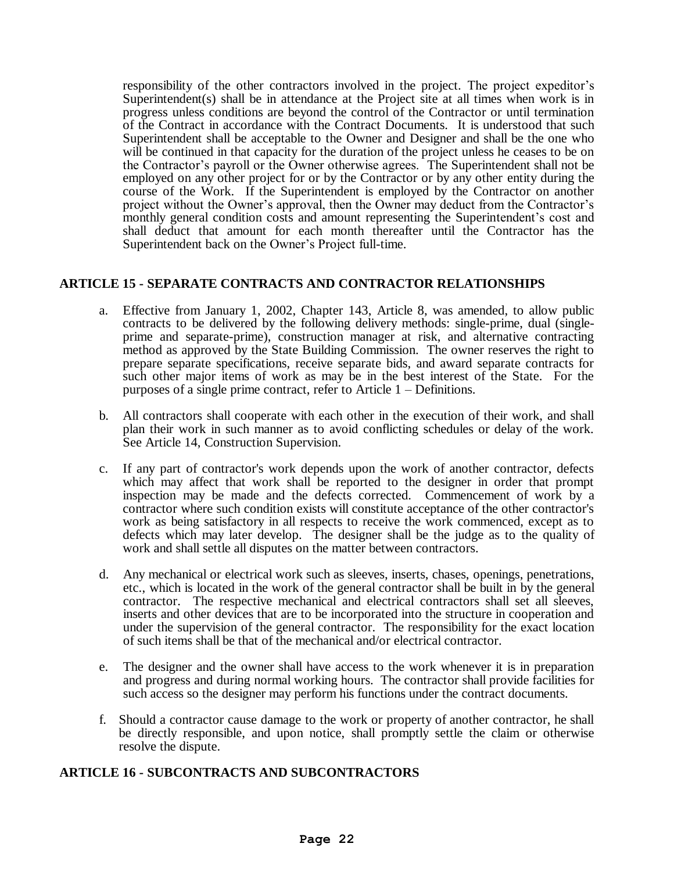responsibility of the other contractors involved in the project. The project expeditor's Superintendent(s) shall be in attendance at the Project site at all times when work is in progress unless conditions are beyond the control of the Contractor or until termination of the Contract in accordance with the Contract Documents. It is understood that such Superintendent shall be acceptable to the Owner and Designer and shall be the one who will be continued in that capacity for the duration of the project unless he ceases to be on the Contractor's payroll or the Owner otherwise agrees. The Superintendent shall not be employed on any other project for or by the Contractor or by any other entity during the course of the Work. If the Superintendent is employed by the Contractor on another project without the Owner's approval, then the Owner may deduct from the Contractor's monthly general condition costs and amount representing the Superintendent's cost and shall deduct that amount for each month thereafter until the Contractor has the Superintendent back on the Owner's Project full-time.

# **ARTICLE 15 - SEPARATE CONTRACTS AND CONTRACTOR RELATIONSHIPS**

- a. Effective from January 1, 2002, Chapter 143, Article 8, was amended, to allow public contracts to be delivered by the following delivery methods: single-prime, dual (singleprime and separate-prime), construction manager at risk, and alternative contracting method as approved by the State Building Commission. The owner reserves the right to prepare separate specifications, receive separate bids, and award separate contracts for such other major items of work as may be in the best interest of the State. For the purposes of a single prime contract, refer to Article 1 – Definitions.
- b. All contractors shall cooperate with each other in the execution of their work, and shall plan their work in such manner as to avoid conflicting schedules or delay of the work. See Article 14, Construction Supervision.
- c. If any part of contractor's work depends upon the work of another contractor, defects which may affect that work shall be reported to the designer in order that prompt inspection may be made and the defects corrected. Commencement of work by a contractor where such condition exists will constitute acceptance of the other contractor's work as being satisfactory in all respects to receive the work commenced, except as to defects which may later develop. The designer shall be the judge as to the quality of work and shall settle all disputes on the matter between contractors.
- d. Any mechanical or electrical work such as sleeves, inserts, chases, openings, penetrations, etc., which is located in the work of the general contractor shall be built in by the general contractor. The respective mechanical and electrical contractors shall set all sleeves, inserts and other devices that are to be incorporated into the structure in cooperation and under the supervision of the general contractor. The responsibility for the exact location of such items shall be that of the mechanical and/or electrical contractor.
- e. The designer and the owner shall have access to the work whenever it is in preparation and progress and during normal working hours. The contractor shall provide facilities for such access so the designer may perform his functions under the contract documents.
- f. Should a contractor cause damage to the work or property of another contractor, he shall be directly responsible, and upon notice, shall promptly settle the claim or otherwise resolve the dispute.

# **ARTICLE 16 - SUBCONTRACTS AND SUBCONTRACTORS**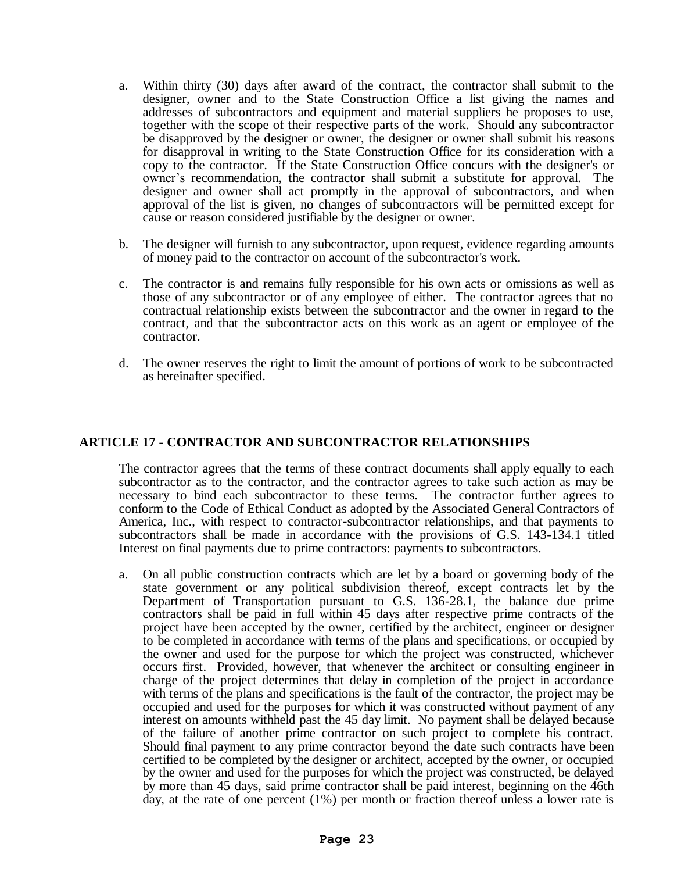- a. Within thirty (30) days after award of the contract, the contractor shall submit to the designer, owner and to the State Construction Office a list giving the names and addresses of subcontractors and equipment and material suppliers he proposes to use, together with the scope of their respective parts of the work. Should any subcontractor be disapproved by the designer or owner, the designer or owner shall submit his reasons for disapproval in writing to the State Construction Office for its consideration with a copy to the contractor. If the State Construction Office concurs with the designer's or owner's recommendation, the contractor shall submit a substitute for approval. The designer and owner shall act promptly in the approval of subcontractors, and when approval of the list is given, no changes of subcontractors will be permitted except for cause or reason considered justifiable by the designer or owner.
- b. The designer will furnish to any subcontractor, upon request, evidence regarding amounts of money paid to the contractor on account of the subcontractor's work.
- c. The contractor is and remains fully responsible for his own acts or omissions as well as those of any subcontractor or of any employee of either. The contractor agrees that no contractual relationship exists between the subcontractor and the owner in regard to the contract, and that the subcontractor acts on this work as an agent or employee of the contractor.
- d. The owner reserves the right to limit the amount of portions of work to be subcontracted as hereinafter specified.

#### **ARTICLE 17 - CONTRACTOR AND SUBCONTRACTOR RELATIONSHIPS**

The contractor agrees that the terms of these contract documents shall apply equally to each subcontractor as to the contractor, and the contractor agrees to take such action as may be necessary to bind each subcontractor to these terms. The contractor further agrees to conform to the Code of Ethical Conduct as adopted by the Associated General Contractors of America, Inc., with respect to contractor-subcontractor relationships, and that payments to subcontractors shall be made in accordance with the provisions of G.S. 143-134.1 titled Interest on final payments due to prime contractors: payments to subcontractors.

a. On all public construction contracts which are let by a board or governing body of the state government or any political subdivision thereof, except contracts let by the Department of Transportation pursuant to G.S. 136-28.1, the balance due prime contractors shall be paid in full within 45 days after respective prime contracts of the project have been accepted by the owner, certified by the architect, engineer or designer to be completed in accordance with terms of the plans and specifications, or occupied by the owner and used for the purpose for which the project was constructed, whichever occurs first. Provided, however, that whenever the architect or consulting engineer in charge of the project determines that delay in completion of the project in accordance with terms of the plans and specifications is the fault of the contractor, the project may be occupied and used for the purposes for which it was constructed without payment of any interest on amounts withheld past the 45 day limit. No payment shall be delayed because of the failure of another prime contractor on such project to complete his contract. Should final payment to any prime contractor beyond the date such contracts have been certified to be completed by the designer or architect, accepted by the owner, or occupied by the owner and used for the purposes for which the project was constructed, be delayed by more than 45 days, said prime contractor shall be paid interest, beginning on the 46th day, at the rate of one percent (1%) per month or fraction thereof unless a lower rate is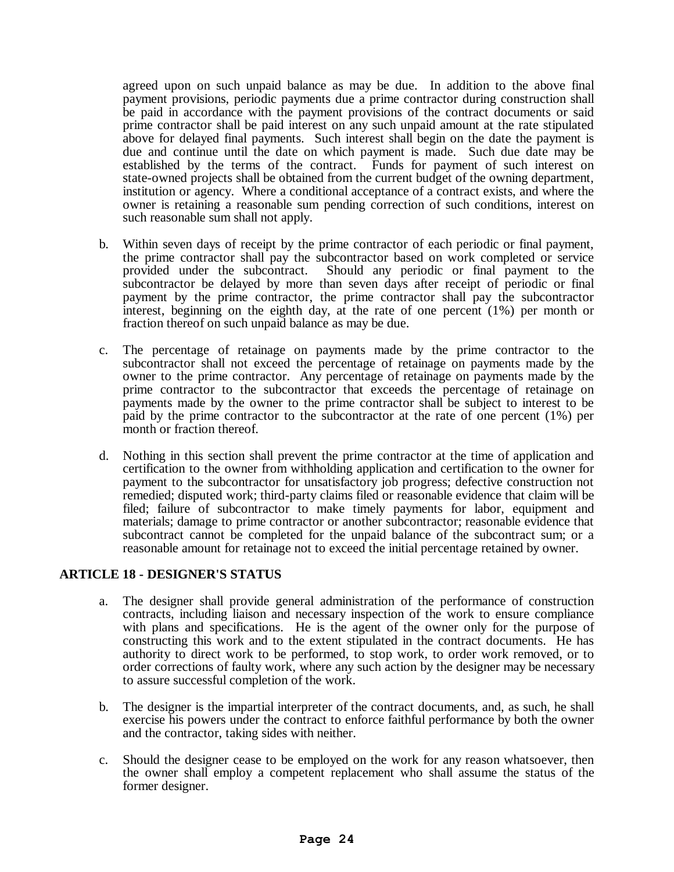agreed upon on such unpaid balance as may be due. In addition to the above final payment provisions, periodic payments due a prime contractor during construction shall be paid in accordance with the payment provisions of the contract documents or said prime contractor shall be paid interest on any such unpaid amount at the rate stipulated above for delayed final payments. Such interest shall begin on the date the payment is due and continue until the date on which payment is made. Such due date may be established by the terms of the contract. Funds for payment of such interest on state-owned projects shall be obtained from the current budget of the owning department, institution or agency. Where a conditional acceptance of a contract exists, and where the owner is retaining a reasonable sum pending correction of such conditions, interest on such reasonable sum shall not apply.

- b. Within seven days of receipt by the prime contractor of each periodic or final payment, the prime contractor shall pay the subcontractor based on work completed or service<br>provided under the subcontract. Should any periodic or final payment to the Should any periodic or final payment to the subcontractor be delayed by more than seven days after receipt of periodic or final payment by the prime contractor, the prime contractor shall pay the subcontractor interest, beginning on the eighth day, at the rate of one percent (1%) per month or fraction thereof on such unpaid balance as may be due.
- c. The percentage of retainage on payments made by the prime contractor to the subcontractor shall not exceed the percentage of retainage on payments made by the owner to the prime contractor. Any percentage of retainage on payments made by the prime contractor to the subcontractor that exceeds the percentage of retainage on payments made by the owner to the prime contractor shall be subject to interest to be paid by the prime contractor to the subcontractor at the rate of one percent (1%) per month or fraction thereof.
- d. Nothing in this section shall prevent the prime contractor at the time of application and certification to the owner from withholding application and certification to the owner for payment to the subcontractor for unsatisfactory job progress; defective construction not remedied; disputed work; third-party claims filed or reasonable evidence that claim will be filed; failure of subcontractor to make timely payments for labor, equipment and materials; damage to prime contractor or another subcontractor; reasonable evidence that subcontract cannot be completed for the unpaid balance of the subcontract sum; or a reasonable amount for retainage not to exceed the initial percentage retained by owner.

# **ARTICLE 18 - DESIGNER'S STATUS**

- a. The designer shall provide general administration of the performance of construction contracts, including liaison and necessary inspection of the work to ensure compliance with plans and specifications. He is the agent of the owner only for the purpose of constructing this work and to the extent stipulated in the contract documents. He has authority to direct work to be performed, to stop work, to order work removed, or to order corrections of faulty work, where any such action by the designer may be necessary to assure successful completion of the work.
- b. The designer is the impartial interpreter of the contract documents, and, as such, he shall exercise his powers under the contract to enforce faithful performance by both the owner and the contractor, taking sides with neither.
- c. Should the designer cease to be employed on the work for any reason whatsoever, then the owner shall employ a competent replacement who shall assume the status of the former designer.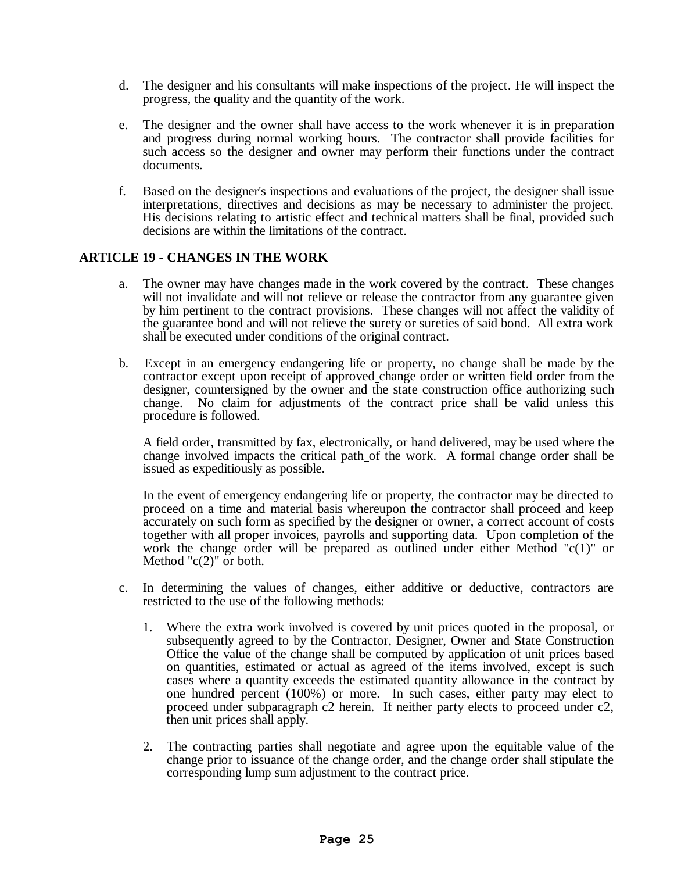- d. The designer and his consultants will make inspections of the project. He will inspect the progress, the quality and the quantity of the work.
- e. The designer and the owner shall have access to the work whenever it is in preparation and progress during normal working hours. The contractor shall provide facilities for such access so the designer and owner may perform their functions under the contract documents.
- f. Based on the designer's inspections and evaluations of the project, the designer shall issue interpretations, directives and decisions as may be necessary to administer the project. His decisions relating to artistic effect and technical matters shall be final, provided such decisions are within the limitations of the contract.

# **ARTICLE 19 - CHANGES IN THE WORK**

- a. The owner may have changes made in the work covered by the contract. These changes will not invalidate and will not relieve or release the contractor from any guarantee given by him pertinent to the contract provisions. These changes will not affect the validity of the guarantee bond and will not relieve the surety or sureties of said bond. All extra work shall be executed under conditions of the original contract.
- b. Except in an emergency endangering life or property, no change shall be made by the contractor except upon receipt of approved change order or written field order from the designer, countersigned by the owner and the state construction office authorizing such change. No claim for adjustments of the contract price shall be valid unless this procedure is followed.

A field order, transmitted by fax, electronically, or hand delivered, may be used where the change involved impacts the critical path of the work. A formal change order shall be issued as expeditiously as possible.

In the event of emergency endangering life or property, the contractor may be directed to proceed on a time and material basis whereupon the contractor shall proceed and keep accurately on such form as specified by the designer or owner, a correct account of costs together with all proper invoices, payrolls and supporting data. Upon completion of the work the change order will be prepared as outlined under either Method " $c(1)$ " or Method " $c(2)$ " or both.

- c. In determining the values of changes, either additive or deductive, contractors are restricted to the use of the following methods:
	- 1. Where the extra work involved is covered by unit prices quoted in the proposal, or subsequently agreed to by the Contractor, Designer, Owner and State Construction Office the value of the change shall be computed by application of unit prices based on quantities, estimated or actual as agreed of the items involved, except is such cases where a quantity exceeds the estimated quantity allowance in the contract by one hundred percent (100%) or more. In such cases, either party may elect to proceed under subparagraph c2 herein. If neither party elects to proceed under c2, then unit prices shall apply.
	- 2. The contracting parties shall negotiate and agree upon the equitable value of the change prior to issuance of the change order, and the change order shall stipulate the corresponding lump sum adjustment to the contract price.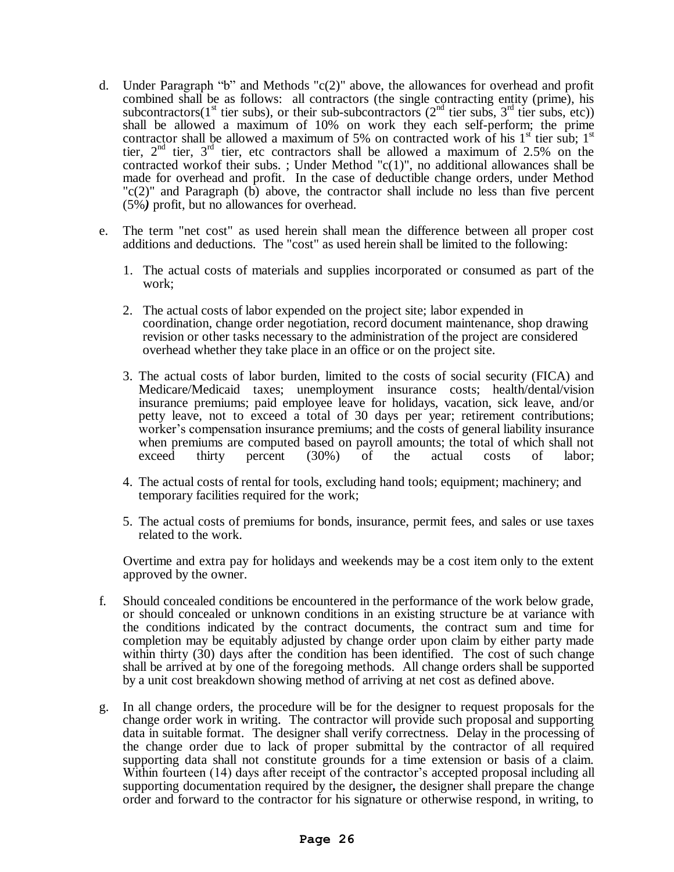- d. Under Paragraph "b" and Methods "c(2)" above, the allowances for overhead and profit combined shall be as follows: all contractors (the single contracting entity (prime), his subcontractors(1<sup>st</sup> tier subs), or their sub-subcontractors ( $2<sup>nd</sup>$  tier subs,  $3<sup>rd</sup>$  tier subs, etc)) shall be allowed a maximum of 10% on work they each self-perform; the prime contractor shall be allowed a maximum of 5% on contracted work of his  $1<sup>st</sup>$  tier sub;  $1<sup>st</sup>$ tier,  $2<sup>nd</sup>$  tier,  $3<sup>rd</sup>$  tier, etc contractors shall be allowed a maximum of 2.5% on the contracted workof their subs. ; Under Method "c(1)", no additional allowances shall be made for overhead and profit. In the case of deductible change orders, under Method  $\text{C}(2)$ " and Paragraph (b) above, the contractor shall include no less than five percent (5%*)* profit, but no allowances for overhead.
- e. The term "net cost" as used herein shall mean the difference between all proper cost additions and deductions. The "cost" as used herein shall be limited to the following:
	- 1. The actual costs of materials and supplies incorporated or consumed as part of the work;
	- 2. The actual costs of labor expended on the project site; labor expended in coordination, change order negotiation, record document maintenance, shop drawing revision or other tasks necessary to the administration of the project are considered overhead whether they take place in an office or on the project site.
	- 3. The actual costs of labor burden, limited to the costs of social security (FICA) and Medicare/Medicaid taxes; unemployment insurance costs; health/dental/vision insurance premiums; paid employee leave for holidays, vacation, sick leave, and/or petty leave, not to exceed a total of 30 days per year; retirement contributions; worker's compensation insurance premiums; and the costs of general liability insurance when premiums are computed based on payroll amounts; the total of which shall not exceed thirty percent (30%) of the actual costs of labor;
	- 4. The actual costs of rental for tools, excluding hand tools; equipment; machinery; and temporary facilities required for the work;
	- 5. The actual costs of premiums for bonds, insurance, permit fees, and sales or use taxes related to the work.

Overtime and extra pay for holidays and weekends may be a cost item only to the extent approved by the owner.

- f. Should concealed conditions be encountered in the performance of the work below grade, or should concealed or unknown conditions in an existing structure be at variance with the conditions indicated by the contract documents, the contract sum and time for completion may be equitably adjusted by change order upon claim by either party made within thirty (30) days after the condition has been identified. The cost of such change shall be arrived at by one of the foregoing methods. All change orders shall be supported by a unit cost breakdown showing method of arriving at net cost as defined above.
- g. In all change orders, the procedure will be for the designer to request proposals for the change order work in writing. The contractor will provide such proposal and supporting data in suitable format. The designer shall verify correctness. Delay in the processing of the change order due to lack of proper submittal by the contractor of all required supporting data shall not constitute grounds for a time extension or basis of a claim. Within fourteen (14) days after receipt of the contractor's accepted proposal including all supporting documentation required by the designer*,* the designer shall prepare the change order and forward to the contractor for his signature or otherwise respond, in writing, to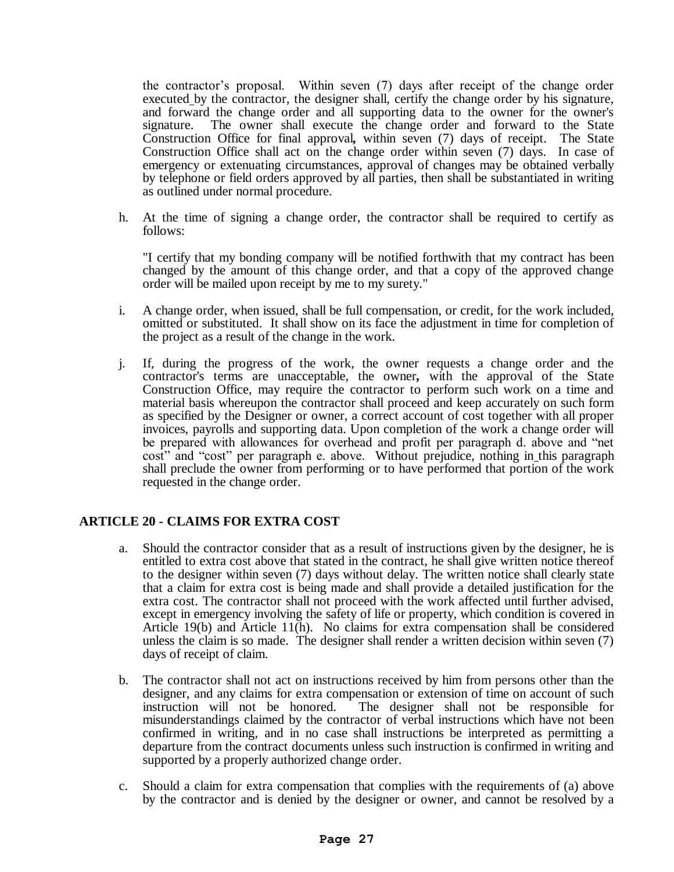the contractor's proposal. Within seven (7) days after receipt of the change order executed by the contractor, the designer shall, certify the change order by his signature, and forward the change order and all supporting data to the owner for the owner's signature. The owner shall execute the change order and forward to the State Construction Office for final approval*,* within seven (7) days of receipt. The State Construction Office shall act on the change order within seven (7) days. In case of emergency or extenuating circumstances, approval of changes may be obtained verbally by telephone or field orders approved by all parties, then shall be substantiated in writing as outlined under normal procedure.

h. At the time of signing a change order, the contractor shall be required to certify as follows:

"I certify that my bonding company will be notified forthwith that my contract has been changed by the amount of this change order, and that a copy of the approved change order will be mailed upon receipt by me to my surety."

- i. A change order, when issued, shall be full compensation, or credit, for the work included, omitted or substituted. It shall show on its face the adjustment in time for completion of the project as a result of the change in the work.
- j. If, during the progress of the work, the owner requests a change order and the contractor's terms are unacceptable, the owner*,* with the approval of the State Construction Office, may require the contractor to perform such work on a time and material basis whereupon the contractor shall proceed and keep accurately on such form as specified by the Designer or owner, a correct account of cost together with all proper invoices, payrolls and supporting data. Upon completion of the work a change order will be prepared with allowances for overhead and profit per paragraph d. above and "net cost" and "cost" per paragraph e. above. Without prejudice, nothing in this paragraph shall preclude the owner from performing or to have performed that portion of the work requested in the change order.

# **ARTICLE 20 - CLAIMS FOR EXTRA COST**

- a. Should the contractor consider that as a result of instructions given by the designer, he is entitled to extra cost above that stated in the contract, he shall give written notice thereof to the designer within seven (7) days without delay. The written notice shall clearly state that a claim for extra cost is being made and shall provide a detailed justification for the extra cost. The contractor shall not proceed with the work affected until further advised, except in emergency involving the safety of life or property, which condition is covered in Article 19(b) and Article 11(h). No claims for extra compensation shall be considered unless the claim is so made. The designer shall render a written decision within seven (7) days of receipt of claim.
- b. The contractor shall not act on instructions received by him from persons other than the designer, and any claims for extra compensation or extension of time on account of such instruction will not be honored. The designer shall not be responsible for misunderstandings claimed by the contractor of verbal instructions which have not been confirmed in writing, and in no case shall instructions be interpreted as permitting a departure from the contract documents unless such instruction is confirmed in writing and supported by a properly authorized change order.
- c. Should a claim for extra compensation that complies with the requirements of (a) above by the contractor and is denied by the designer or owner, and cannot be resolved by a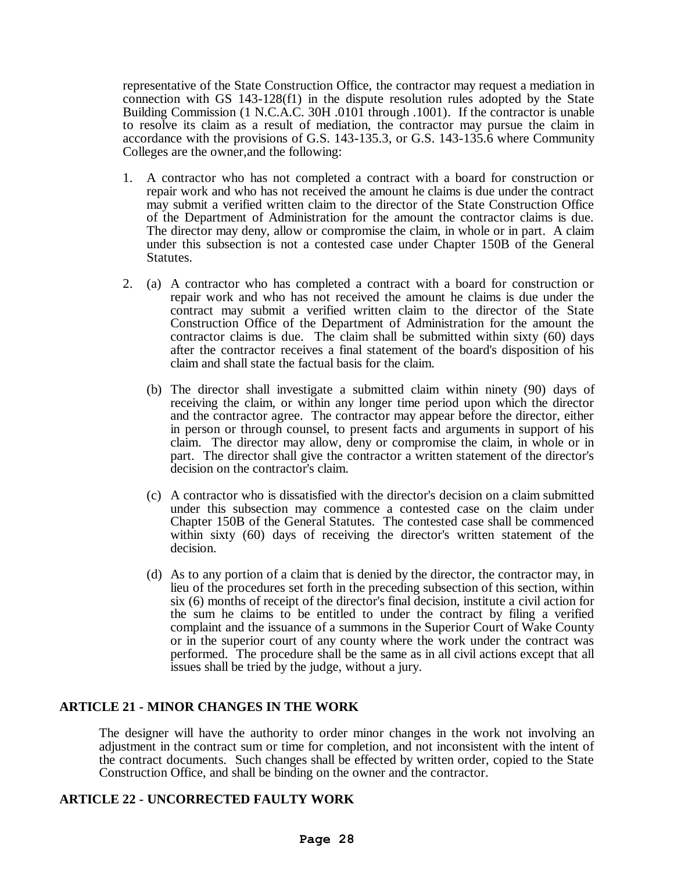representative of the State Construction Office, the contractor may request a mediation in connection with GS 143-128(f1) in the dispute resolution rules adopted by the State Building Commission (1 N.C.A.C. 30H .0101 through .1001). If the contractor is unable to resolve its claim as a result of mediation, the contractor may pursue the claim in accordance with the provisions of G.S. 143-135.3, or G.S. 143-135.6 where Community Colleges are the owner,and the following:

- 1. A contractor who has not completed a contract with a board for construction or repair work and who has not received the amount he claims is due under the contract may submit a verified written claim to the director of the State Construction Office of the Department of Administration for the amount the contractor claims is due. The director may deny, allow or compromise the claim, in whole or in part. A claim under this subsection is not a contested case under Chapter 150B of the General Statutes.
- 2. (a) A contractor who has completed a contract with a board for construction or repair work and who has not received the amount he claims is due under the contract may submit a verified written claim to the director of the State Construction Office of the Department of Administration for the amount the contractor claims is due. The claim shall be submitted within sixty (60) days after the contractor receives a final statement of the board's disposition of his claim and shall state the factual basis for the claim.
	- (b) The director shall investigate a submitted claim within ninety (90) days of receiving the claim, or within any longer time period upon which the director and the contractor agree. The contractor may appear before the director, either in person or through counsel, to present facts and arguments in support of his claim. The director may allow, deny or compromise the claim, in whole or in part. The director shall give the contractor a written statement of the director's decision on the contractor's claim.
	- (c) A contractor who is dissatisfied with the director's decision on a claim submitted under this subsection may commence a contested case on the claim under Chapter 150B of the General Statutes. The contested case shall be commenced within sixty (60) days of receiving the director's written statement of the decision.
	- (d) As to any portion of a claim that is denied by the director, the contractor may, in lieu of the procedures set forth in the preceding subsection of this section, within six (6) months of receipt of the director's final decision, institute a civil action for the sum he claims to be entitled to under the contract by filing a verified complaint and the issuance of a summons in the Superior Court of Wake County or in the superior court of any county where the work under the contract was performed. The procedure shall be the same as in all civil actions except that all issues shall be tried by the judge, without a jury.

# **ARTICLE 21 - MINOR CHANGES IN THE WORK**

The designer will have the authority to order minor changes in the work not involving an adjustment in the contract sum or time for completion, and not inconsistent with the intent of the contract documents. Such changes shall be effected by written order, copied to the State Construction Office, and shall be binding on the owner and the contractor.

# **ARTICLE 22 - UNCORRECTED FAULTY WORK**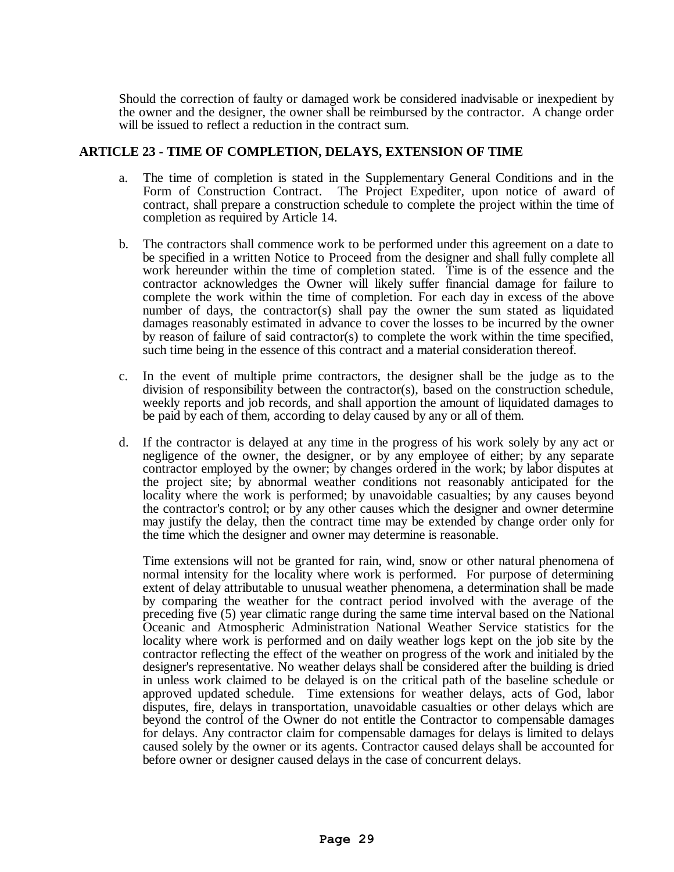Should the correction of faulty or damaged work be considered inadvisable or inexpedient by the owner and the designer, the owner shall be reimbursed by the contractor. A change order will be issued to reflect a reduction in the contract sum.

#### **ARTICLE 23 - TIME OF COMPLETION, DELAYS, EXTENSION OF TIME**

- a. The time of completion is stated in the Supplementary General Conditions and in the Form of Construction Contract. The Project Expediter, upon notice of award of contract, shall prepare a construction schedule to complete the project within the time of completion as required by Article 14.
- b. The contractors shall commence work to be performed under this agreement on a date to be specified in a written Notice to Proceed from the designer and shall fully complete all work hereunder within the time of completion stated. Time is of the essence and the contractor acknowledges the Owner will likely suffer financial damage for failure to complete the work within the time of completion. For each day in excess of the above number of days, the contractor(s) shall pay the owner the sum stated as liquidated damages reasonably estimated in advance to cover the losses to be incurred by the owner by reason of failure of said contractor(s) to complete the work within the time specified, such time being in the essence of this contract and a material consideration thereof.
- c. In the event of multiple prime contractors, the designer shall be the judge as to the division of responsibility between the contractor(s), based on the construction schedule, weekly reports and job records, and shall apportion the amount of liquidated damages to be paid by each of them, according to delay caused by any or all of them.
- d. If the contractor is delayed at any time in the progress of his work solely by any act or negligence of the owner, the designer, or by any employee of either; by any separate contractor employed by the owner; by changes ordered in the work; by labor disputes at the project site; by abnormal weather conditions not reasonably anticipated for the locality where the work is performed; by unavoidable casualties; by any causes beyond the contractor's control; or by any other causes which the designer and owner determine may justify the delay, then the contract time may be extended by change order only for the time which the designer and owner may determine is reasonable.

Time extensions will not be granted for rain, wind, snow or other natural phenomena of normal intensity for the locality where work is performed. For purpose of determining extent of delay attributable to unusual weather phenomena, a determination shall be made by comparing the weather for the contract period involved with the average of the preceding five (5) year climatic range during the same time interval based on the National Oceanic and Atmospheric Administration National Weather Service statistics for the locality where work is performed and on daily weather logs kept on the job site by the contractor reflecting the effect of the weather on progress of the work and initialed by the designer's representative. No weather delays shall be considered after the building is dried in unless work claimed to be delayed is on the critical path of the baseline schedule or approved updated schedule. Time extensions for weather delays, acts of God, labor disputes, fire, delays in transportation, unavoidable casualties or other delays which are beyond the control of the Owner do not entitle the Contractor to compensable damages for delays. Any contractor claim for compensable damages for delays is limited to delays caused solely by the owner or its agents. Contractor caused delays shall be accounted for before owner or designer caused delays in the case of concurrent delays.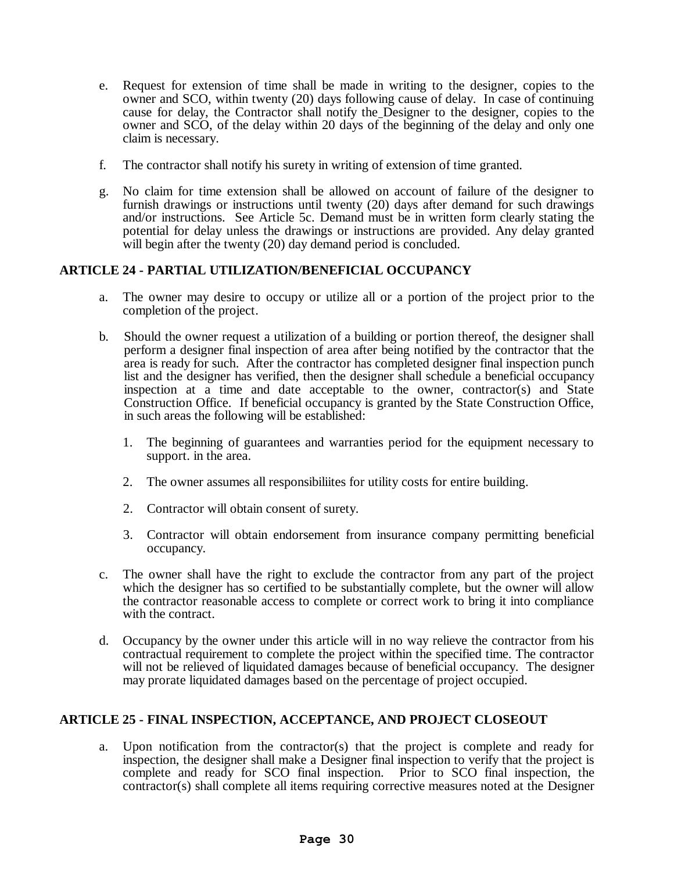- e. Request for extension of time shall be made in writing to the designer, copies to the owner and SCO, within twenty (20) days following cause of delay. In case of continuing cause for delay, the Contractor shall notify the Designer to the designer, copies to the owner and SCO, of the delay within 20 days of the beginning of the delay and only one claim is necessary.
- f. The contractor shall notify his surety in writing of extension of time granted.
- g. No claim for time extension shall be allowed on account of failure of the designer to furnish drawings or instructions until twenty (20) days after demand for such drawings and/or instructions. See Article 5c. Demand must be in written form clearly stating the potential for delay unless the drawings or instructions are provided. Any delay granted will begin after the twenty (20) day demand period is concluded.

# **ARTICLE 24 - PARTIAL UTILIZATION/BENEFICIAL OCCUPANCY**

- a. The owner may desire to occupy or utilize all or a portion of the project prior to the completion of the project.
- b. Should the owner request a utilization of a building or portion thereof, the designer shall perform a designer final inspection of area after being notified by the contractor that the area is ready for such. After the contractor has completed designer final inspection punch list and the designer has verified, then the designer shall schedule a beneficial occupancy inspection at a time and date acceptable to the owner, contractor(s) and State Construction Office. If beneficial occupancy is granted by the State Construction Office, in such areas the following will be established:
	- 1. The beginning of guarantees and warranties period for the equipment necessary to support. in the area.
	- 2. The owner assumes all responsibiliites for utility costs for entire building.
	- 2. Contractor will obtain consent of surety.
	- 3. Contractor will obtain endorsement from insurance company permitting beneficial occupancy.
- c. The owner shall have the right to exclude the contractor from any part of the project which the designer has so certified to be substantially complete, but the owner will allow the contractor reasonable access to complete or correct work to bring it into compliance with the contract.
- d. Occupancy by the owner under this article will in no way relieve the contractor from his contractual requirement to complete the project within the specified time. The contractor will not be relieved of liquidated damages because of beneficial occupancy. The designer may prorate liquidated damages based on the percentage of project occupied.

# **ARTICLE 25 - FINAL INSPECTION, ACCEPTANCE, AND PROJECT CLOSEOUT**

a. Upon notification from the contractor(s) that the project is complete and ready for inspection, the designer shall make a Designer final inspection to verify that the project is complete and ready for SCO final inspection. Prior to SCO final inspection, the contractor(s) shall complete all items requiring corrective measures noted at the Designer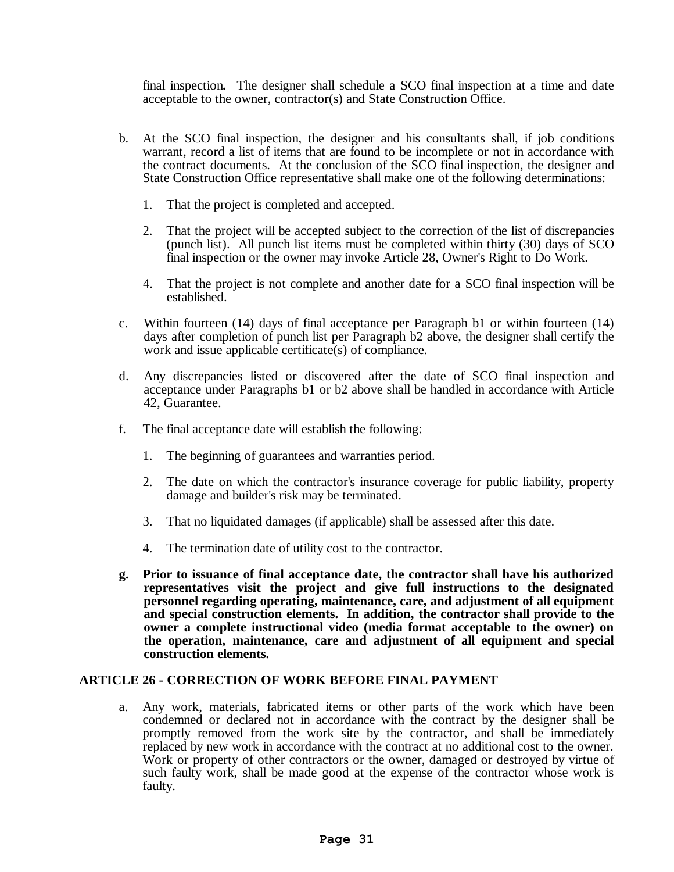final inspection*.* The designer shall schedule a SCO final inspection at a time and date acceptable to the owner, contractor(s) and State Construction Office.

- b. At the SCO final inspection, the designer and his consultants shall, if job conditions warrant, record a list of items that are found to be incomplete or not in accordance with the contract documents. At the conclusion of the SCO final inspection, the designer and State Construction Office representative shall make one of the following determinations:
	- 1. That the project is completed and accepted.
	- 2. That the project will be accepted subject to the correction of the list of discrepancies (punch list). All punch list items must be completed within thirty (30) days of SCO final inspection or the owner may invoke Article 28, Owner's Right to Do Work.
	- 4. That the project is not complete and another date for a SCO final inspection will be established.
- c. Within fourteen (14) days of final acceptance per Paragraph b1 or within fourteen (14) days after completion of punch list per Paragraph b2 above, the designer shall certify the work and issue applicable certificate(s) of compliance.
- d. Any discrepancies listed or discovered after the date of SCO final inspection and acceptance under Paragraphs b1 or b2 above shall be handled in accordance with Article 42, Guarantee.
- f. The final acceptance date will establish the following:
	- 1. The beginning of guarantees and warranties period.
	- 2. The date on which the contractor's insurance coverage for public liability, property damage and builder's risk may be terminated.
	- 3. That no liquidated damages (if applicable) shall be assessed after this date.
	- 4. The termination date of utility cost to the contractor.
- **g. Prior to issuance of final acceptance date, the contractor shall have his authorized representatives visit the project and give full instructions to the designated personnel regarding operating, maintenance, care, and adjustment of all equipment and special construction elements. In addition, the contractor shall provide to the owner a complete instructional video (media format acceptable to the owner) on the operation, maintenance, care and adjustment of all equipment and special construction elements.**

#### **ARTICLE 26 - CORRECTION OF WORK BEFORE FINAL PAYMENT**

a. Any work, materials, fabricated items or other parts of the work which have been condemned or declared not in accordance with the contract by the designer shall be promptly removed from the work site by the contractor, and shall be immediately replaced by new work in accordance with the contract at no additional cost to the owner. Work or property of other contractors or the owner, damaged or destroyed by virtue of such faulty work, shall be made good at the expense of the contractor whose work is faulty.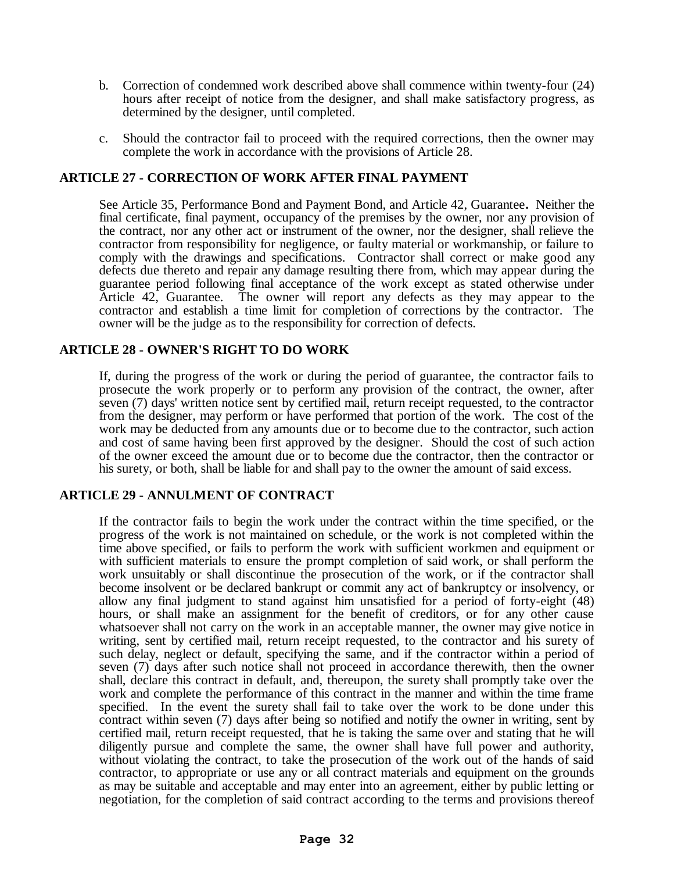- b. Correction of condemned work described above shall commence within twenty-four (24) hours after receipt of notice from the designer, and shall make satisfactory progress, as determined by the designer, until completed.
- c. Should the contractor fail to proceed with the required corrections, then the owner may complete the work in accordance with the provisions of Article 28.

# **ARTICLE 27 - CORRECTION OF WORK AFTER FINAL PAYMENT**

See Article 35, Performance Bond and Payment Bond, and Article 42, Guarantee**.** Neither the final certificate, final payment, occupancy of the premises by the owner, nor any provision of the contract, nor any other act or instrument of the owner, nor the designer, shall relieve the contractor from responsibility for negligence, or faulty material or workmanship, or failure to comply with the drawings and specifications. Contractor shall correct or make good any defects due thereto and repair any damage resulting there from, which may appear during the guarantee period following final acceptance of the work except as stated otherwise under Article 42, Guarantee. The owner will report any defects as they may appear to the contractor and establish a time limit for completion of corrections by the contractor. The owner will be the judge as to the responsibility for correction of defects.

#### **ARTICLE 28 - OWNER'S RIGHT TO DO WORK**

If, during the progress of the work or during the period of guarantee, the contractor fails to prosecute the work properly or to perform any provision of the contract, the owner, after seven (7) days' written notice sent by certified mail, return receipt requested, to the contractor from the designer, may perform or have performed that portion of the work. The cost of the work may be deducted from any amounts due or to become due to the contractor, such action and cost of same having been first approved by the designer. Should the cost of such action of the owner exceed the amount due or to become due the contractor, then the contractor or his surety, or both, shall be liable for and shall pay to the owner the amount of said excess.

#### **ARTICLE 29 - ANNULMENT OF CONTRACT**

If the contractor fails to begin the work under the contract within the time specified, or the progress of the work is not maintained on schedule, or the work is not completed within the time above specified, or fails to perform the work with sufficient workmen and equipment or with sufficient materials to ensure the prompt completion of said work, or shall perform the work unsuitably or shall discontinue the prosecution of the work, or if the contractor shall become insolvent or be declared bankrupt or commit any act of bankruptcy or insolvency, or allow any final judgment to stand against him unsatisfied for a period of forty-eight (48) hours, or shall make an assignment for the benefit of creditors, or for any other cause whatsoever shall not carry on the work in an acceptable manner, the owner may give notice in writing, sent by certified mail, return receipt requested, to the contractor and his surety of such delay, neglect or default, specifying the same, and if the contractor within a period of seven (7) days after such notice shall not proceed in accordance therewith, then the owner shall, declare this contract in default, and, thereupon, the surety shall promptly take over the work and complete the performance of this contract in the manner and within the time frame specified. In the event the surety shall fail to take over the work to be done under this contract within seven (7) days after being so notified and notify the owner in writing, sent by certified mail, return receipt requested, that he is taking the same over and stating that he will diligently pursue and complete the same, the owner shall have full power and authority, without violating the contract, to take the prosecution of the work out of the hands of said contractor, to appropriate or use any or all contract materials and equipment on the grounds as may be suitable and acceptable and may enter into an agreement, either by public letting or negotiation, for the completion of said contract according to the terms and provisions thereof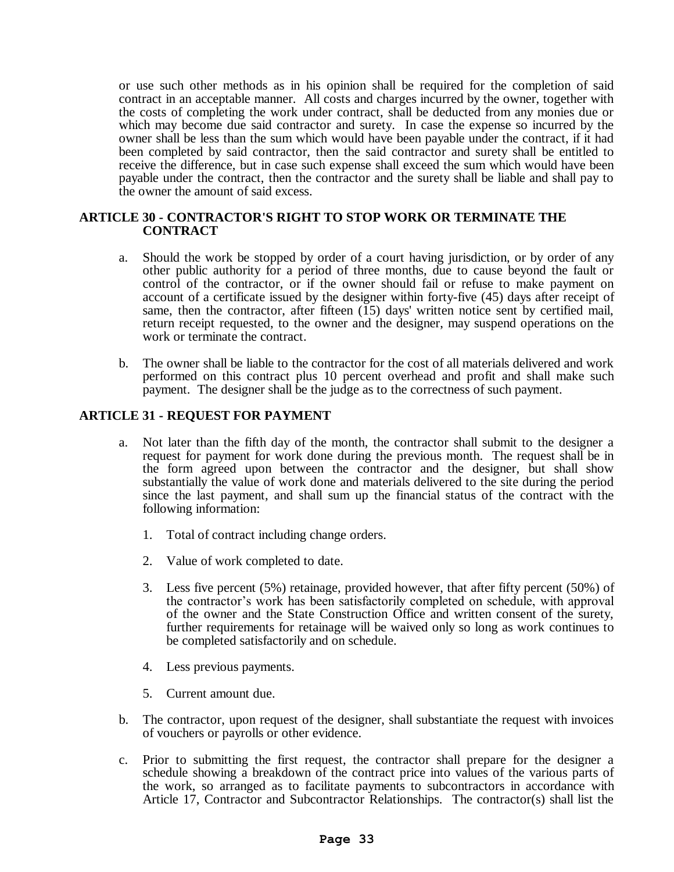or use such other methods as in his opinion shall be required for the completion of said contract in an acceptable manner. All costs and charges incurred by the owner, together with the costs of completing the work under contract, shall be deducted from any monies due or which may become due said contractor and surety. In case the expense so incurred by the owner shall be less than the sum which would have been payable under the contract, if it had been completed by said contractor, then the said contractor and surety shall be entitled to receive the difference, but in case such expense shall exceed the sum which would have been payable under the contract, then the contractor and the surety shall be liable and shall pay to the owner the amount of said excess.

#### **ARTICLE 30 - CONTRACTOR'S RIGHT TO STOP WORK OR TERMINATE THE CONTRACT**

- a. Should the work be stopped by order of a court having jurisdiction, or by order of any other public authority for a period of three months, due to cause beyond the fault or control of the contractor, or if the owner should fail or refuse to make payment on account of a certificate issued by the designer within forty-five (45) days after receipt of same, then the contractor, after fifteen (15) days' written notice sent by certified mail, return receipt requested, to the owner and the designer, may suspend operations on the work or terminate the contract.
- b. The owner shall be liable to the contractor for the cost of all materials delivered and work performed on this contract plus 10 percent overhead and profit and shall make such payment. The designer shall be the judge as to the correctness of such payment.

# **ARTICLE 31 - REQUEST FOR PAYMENT**

- a. Not later than the fifth day of the month, the contractor shall submit to the designer a request for payment for work done during the previous month. The request shall be in the form agreed upon between the contractor and the designer, but shall show substantially the value of work done and materials delivered to the site during the period since the last payment, and shall sum up the financial status of the contract with the following information:
	- 1. Total of contract including change orders.
	- 2. Value of work completed to date.
	- 3. Less five percent (5%) retainage, provided however, that after fifty percent (50%) of the contractor's work has been satisfactorily completed on schedule, with approval of the owner and the State Construction Office and written consent of the surety, further requirements for retainage will be waived only so long as work continues to be completed satisfactorily and on schedule.
	- 4. Less previous payments.
	- 5. Current amount due.
- b. The contractor, upon request of the designer, shall substantiate the request with invoices of vouchers or payrolls or other evidence.
- c. Prior to submitting the first request, the contractor shall prepare for the designer a schedule showing a breakdown of the contract price into values of the various parts of the work, so arranged as to facilitate payments to subcontractors in accordance with Article 17, Contractor and Subcontractor Relationships. The contractor(s) shall list the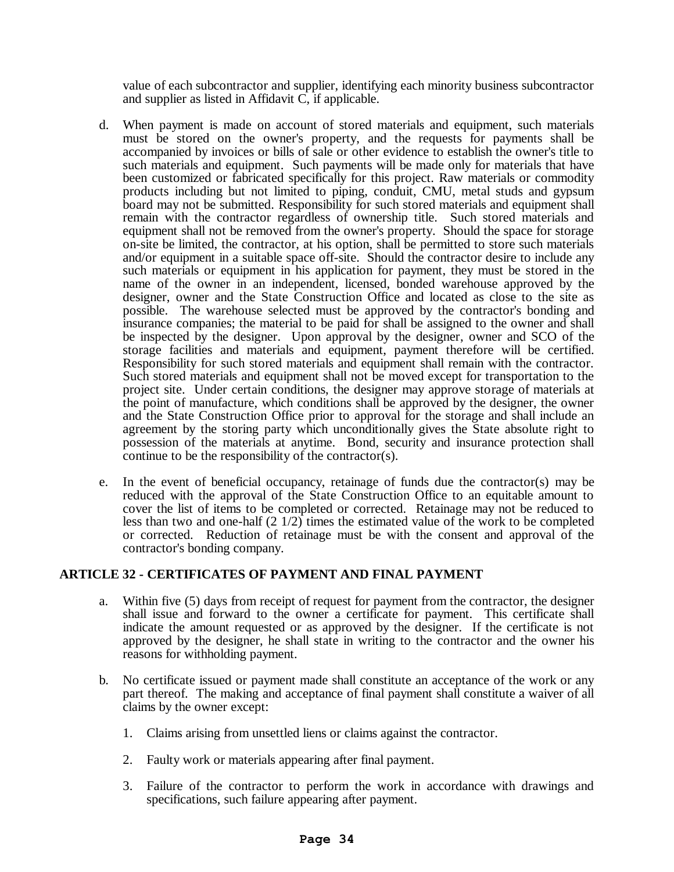value of each subcontractor and supplier, identifying each minority business subcontractor and supplier as listed in Affidavit C, if applicable.

- d. When payment is made on account of stored materials and equipment, such materials must be stored on the owner's property, and the requests for payments shall be accompanied by invoices or bills of sale or other evidence to establish the owner's title to such materials and equipment. Such payments will be made only for materials that have been customized or fabricated specifically for this project. Raw materials or commodity products including but not limited to piping, conduit, CMU, metal studs and gypsum board may not be submitted. Responsibility for such stored materials and equipment shall remain with the contractor regardless of ownership title. Such stored materials and equipment shall not be removed from the owner's property. Should the space for storage on-site be limited, the contractor, at his option, shall be permitted to store such materials and/or equipment in a suitable space off-site. Should the contractor desire to include any such materials or equipment in his application for payment, they must be stored in the name of the owner in an independent, licensed, bonded warehouse approved by the designer, owner and the State Construction Office and located as close to the site as possible. The warehouse selected must be approved by the contractor's bonding and insurance companies; the material to be paid for shall be assigned to the owner and shall be inspected by the designer. Upon approval by the designer, owner and SCO of the storage facilities and materials and equipment, payment therefore will be certified. Responsibility for such stored materials and equipment shall remain with the contractor. Such stored materials and equipment shall not be moved except for transportation to the project site. Under certain conditions, the designer may approve storage of materials at the point of manufacture, which conditions shall be approved by the designer, the owner and the State Construction Office prior to approval for the storage and shall include an agreement by the storing party which unconditionally gives the State absolute right to possession of the materials at anytime. Bond, security and insurance protection shall continue to be the responsibility of the contractor(s).
- e. In the event of beneficial occupancy, retainage of funds due the contractor(s) may be reduced with the approval of the State Construction Office to an equitable amount to cover the list of items to be completed or corrected. Retainage may not be reduced to less than two and one-half (2 1/2) times the estimated value of the work to be completed or corrected. Reduction of retainage must be with the consent and approval of the contractor's bonding company.

# **ARTICLE 32 - CERTIFICATES OF PAYMENT AND FINAL PAYMENT**

- a. Within five (5) days from receipt of request for payment from the contractor, the designer shall issue and forward to the owner a certificate for payment. This certificate shall indicate the amount requested or as approved by the designer. If the certificate is not approved by the designer, he shall state in writing to the contractor and the owner his reasons for withholding payment.
- b. No certificate issued or payment made shall constitute an acceptance of the work or any part thereof. The making and acceptance of final payment shall constitute a waiver of all claims by the owner except:
	- 1. Claims arising from unsettled liens or claims against the contractor.
	- 2. Faulty work or materials appearing after final payment.
	- 3. Failure of the contractor to perform the work in accordance with drawings and specifications, such failure appearing after payment.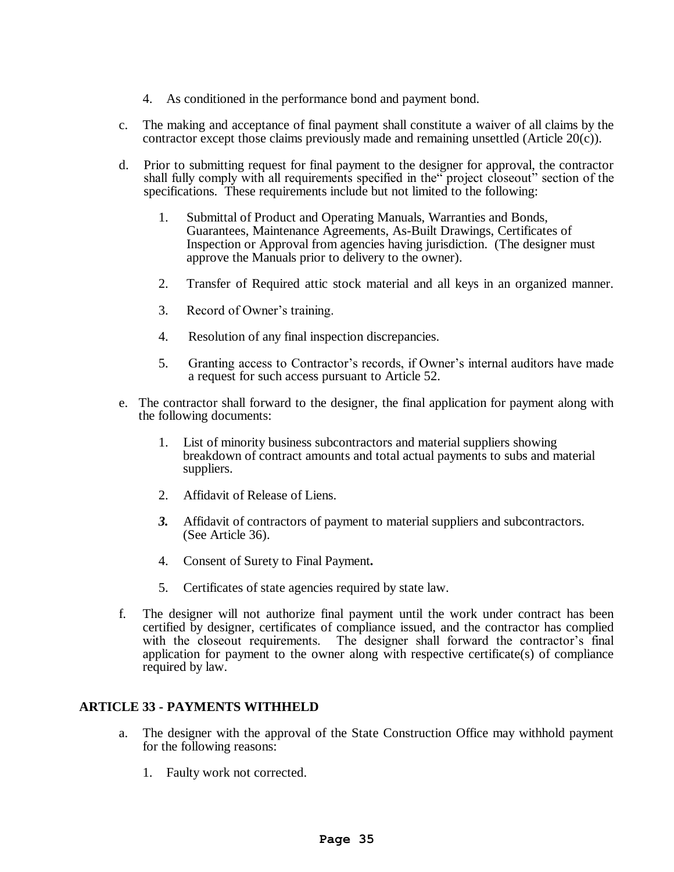- 4. As conditioned in the performance bond and payment bond.
- c. The making and acceptance of final payment shall constitute a waiver of all claims by the contractor except those claims previously made and remaining unsettled (Article 20 $(c)$ ).
- d. Prior to submitting request for final payment to the designer for approval, the contractor shall fully comply with all requirements specified in the" project closeout" section of the specifications. These requirements include but not limited to the following:
	- 1. Submittal of Product and Operating Manuals, Warranties and Bonds, Guarantees, Maintenance Agreements, As-Built Drawings, Certificates of Inspection or Approval from agencies having jurisdiction. (The designer must approve the Manuals prior to delivery to the owner).
	- 2. Transfer of Required attic stock material and all keys in an organized manner.
	- 3. Record of Owner's training.
	- 4. Resolution of any final inspection discrepancies.
	- 5. Granting access to Contractor's records, if Owner's internal auditors have made a request for such access pursuant to Article 52.
- e. The contractor shall forward to the designer, the final application for payment along with the following documents:
	- 1. List of minority business subcontractors and material suppliers showing breakdown of contract amounts and total actual payments to subs and material suppliers.
	- 2. Affidavit of Release of Liens.
	- *3.* Affidavit of contractors of payment to material suppliers and subcontractors. (See Article 36).
	- 4. Consent of Surety to Final Payment*.*
	- 5. Certificates of state agencies required by state law.
- f. The designer will not authorize final payment until the work under contract has been certified by designer, certificates of compliance issued, and the contractor has complied with the closeout requirements. The designer shall forward the contractor's final application for payment to the owner along with respective certificate(s) of compliance required by law.

# **ARTICLE 33 - PAYMENTS WITHHELD**

- a. The designer with the approval of the State Construction Office may withhold payment for the following reasons:
	- 1. Faulty work not corrected.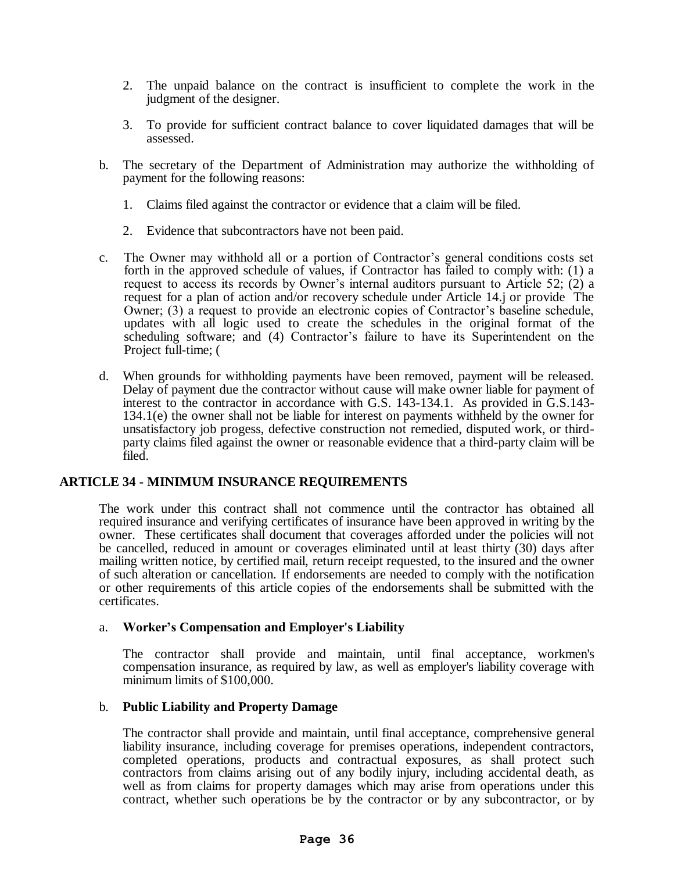- 2. The unpaid balance on the contract is insufficient to complete the work in the judgment of the designer.
- 3. To provide for sufficient contract balance to cover liquidated damages that will be assessed.
- b. The secretary of the Department of Administration may authorize the withholding of payment for the following reasons:
	- 1. Claims filed against the contractor or evidence that a claim will be filed.
	- 2. Evidence that subcontractors have not been paid.
- c. The Owner may withhold all or a portion of Contractor's general conditions costs set forth in the approved schedule of values, if Contractor has failed to comply with: (1) a request to access its records by Owner's internal auditors pursuant to Article 52; (2) a request for a plan of action and/or recovery schedule under Article 14.j or provide The Owner; (3) a request to provide an electronic copies of Contractor's baseline schedule, updates with all logic used to create the schedules in the original format of the scheduling software; and (4) Contractor's failure to have its Superintendent on the Project full-time; (
- d. When grounds for withholding payments have been removed, payment will be released. Delay of payment due the contractor without cause will make owner liable for payment of interest to the contractor in accordance with G.S. 143-134.1. As provided in G.S.143- 134.1(e) the owner shall not be liable for interest on payments withheld by the owner for unsatisfactory job progess, defective construction not remedied, disputed work, or thirdparty claims filed against the owner or reasonable evidence that a third-party claim will be filed.

# **ARTICLE 34 - MINIMUM INSURANCE REQUIREMENTS**

The work under this contract shall not commence until the contractor has obtained all required insurance and verifying certificates of insurance have been approved in writing by the owner. These certificates shall document that coverages afforded under the policies will not be cancelled, reduced in amount or coverages eliminated until at least thirty (30) days after mailing written notice, by certified mail, return receipt requested, to the insured and the owner of such alteration or cancellation. If endorsements are needed to comply with the notification or other requirements of this article copies of the endorsements shall be submitted with the certificates.

#### a. **Worker's Compensation and Employer's Liability**

The contractor shall provide and maintain, until final acceptance, workmen's compensation insurance, as required by law, as well as employer's liability coverage with minimum limits of \$100,000.

#### b. **Public Liability and Property Damage**

The contractor shall provide and maintain, until final acceptance, comprehensive general liability insurance, including coverage for premises operations, independent contractors, completed operations, products and contractual exposures, as shall protect such contractors from claims arising out of any bodily injury, including accidental death, as well as from claims for property damages which may arise from operations under this contract, whether such operations be by the contractor or by any subcontractor, or by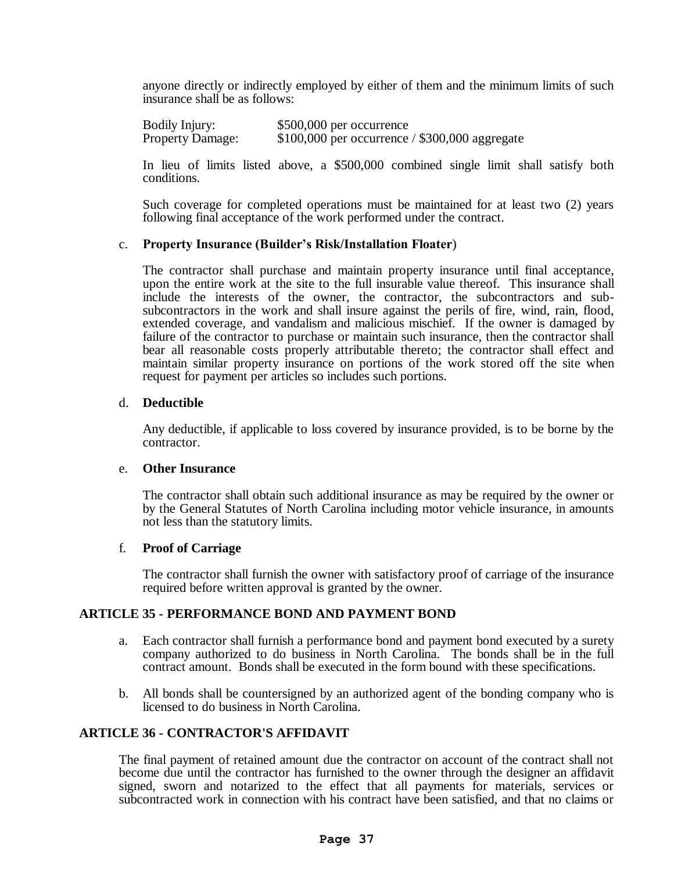anyone directly or indirectly employed by either of them and the minimum limits of such insurance shall be as follows:

| Bodily Injury:          | \$500,000 per occurrence                        |
|-------------------------|-------------------------------------------------|
| <b>Property Damage:</b> | $$100,000$ per occurrence / \$300,000 aggregate |

In lieu of limits listed above, a \$500,000 combined single limit shall satisfy both conditions.

Such coverage for completed operations must be maintained for at least two (2) years following final acceptance of the work performed under the contract.

#### c. **Property Insurance (Builder's Risk/Installation Floater**)

The contractor shall purchase and maintain property insurance until final acceptance, upon the entire work at the site to the full insurable value thereof. This insurance shall include the interests of the owner, the contractor, the subcontractors and subsubcontractors in the work and shall insure against the perils of fire, wind, rain, flood, extended coverage, and vandalism and malicious mischief. If the owner is damaged by failure of the contractor to purchase or maintain such insurance, then the contractor shall bear all reasonable costs properly attributable thereto; the contractor shall effect and maintain similar property insurance on portions of the work stored off the site when request for payment per articles so includes such portions.

#### d. **Deductible**

Any deductible, if applicable to loss covered by insurance provided, is to be borne by the contractor.

#### e. **Other Insurance**

The contractor shall obtain such additional insurance as may be required by the owner or by the General Statutes of North Carolina including motor vehicle insurance, in amounts not less than the statutory limits.

#### f. **Proof of Carriage**

The contractor shall furnish the owner with satisfactory proof of carriage of the insurance required before written approval is granted by the owner.

#### **ARTICLE 35 - PERFORMANCE BOND AND PAYMENT BOND**

- a. Each contractor shall furnish a performance bond and payment bond executed by a surety company authorized to do business in North Carolina. The bonds shall be in the full contract amount. Bonds shall be executed in the form bound with these specifications.
- b. All bonds shall be countersigned by an authorized agent of the bonding company who is licensed to do business in North Carolina.

#### **ARTICLE 36 - CONTRACTOR'S AFFIDAVIT**

The final payment of retained amount due the contractor on account of the contract shall not become due until the contractor has furnished to the owner through the designer an affidavit signed, sworn and notarized to the effect that all payments for materials, services or subcontracted work in connection with his contract have been satisfied, and that no claims or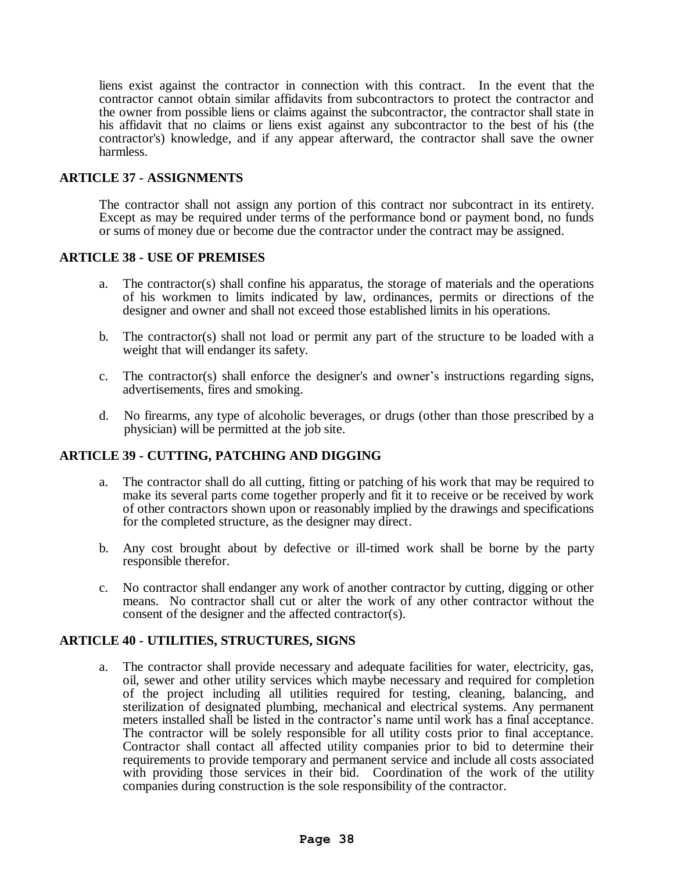liens exist against the contractor in connection with this contract. In the event that the contractor cannot obtain similar affidavits from subcontractors to protect the contractor and the owner from possible liens or claims against the subcontractor, the contractor shall state in his affidavit that no claims or liens exist against any subcontractor to the best of his (the contractor's) knowledge, and if any appear afterward, the contractor shall save the owner harmless.

#### **ARTICLE 37 - ASSIGNMENTS**

The contractor shall not assign any portion of this contract nor subcontract in its entirety. Except as may be required under terms of the performance bond or payment bond, no funds or sums of money due or become due the contractor under the contract may be assigned.

#### **ARTICLE 38 - USE OF PREMISES**

- a. The contractor(s) shall confine his apparatus, the storage of materials and the operations of his workmen to limits indicated by law, ordinances, permits or directions of the designer and owner and shall not exceed those established limits in his operations.
- b. The contractor(s) shall not load or permit any part of the structure to be loaded with a weight that will endanger its safety.
- c. The contractor(s) shall enforce the designer's and owner's instructions regarding signs, advertisements, fires and smoking.
- d. No firearms, any type of alcoholic beverages, or drugs (other than those prescribed by a physician) will be permitted at the job site.

# **ARTICLE 39 - CUTTING, PATCHING AND DIGGING**

- a. The contractor shall do all cutting, fitting or patching of his work that may be required to make its several parts come together properly and fit it to receive or be received by work of other contractors shown upon or reasonably implied by the drawings and specifications for the completed structure, as the designer may direct.
- b. Any cost brought about by defective or ill-timed work shall be borne by the party responsible therefor.
- c. No contractor shall endanger any work of another contractor by cutting, digging or other means. No contractor shall cut or alter the work of any other contractor without the consent of the designer and the affected contractor(s).

#### **ARTICLE 40 - UTILITIES, STRUCTURES, SIGNS**

a. The contractor shall provide necessary and adequate facilities for water, electricity, gas, oil, sewer and other utility services which maybe necessary and required for completion of the project including all utilities required for testing, cleaning, balancing, and sterilization of designated plumbing, mechanical and electrical systems. Any permanent meters installed shall be listed in the contractor's name until work has a final acceptance. The contractor will be solely responsible for all utility costs prior to final acceptance. Contractor shall contact all affected utility companies prior to bid to determine their requirements to provide temporary and permanent service and include all costs associated with providing those services in their bid. Coordination of the work of the utility companies during construction is the sole responsibility of the contractor.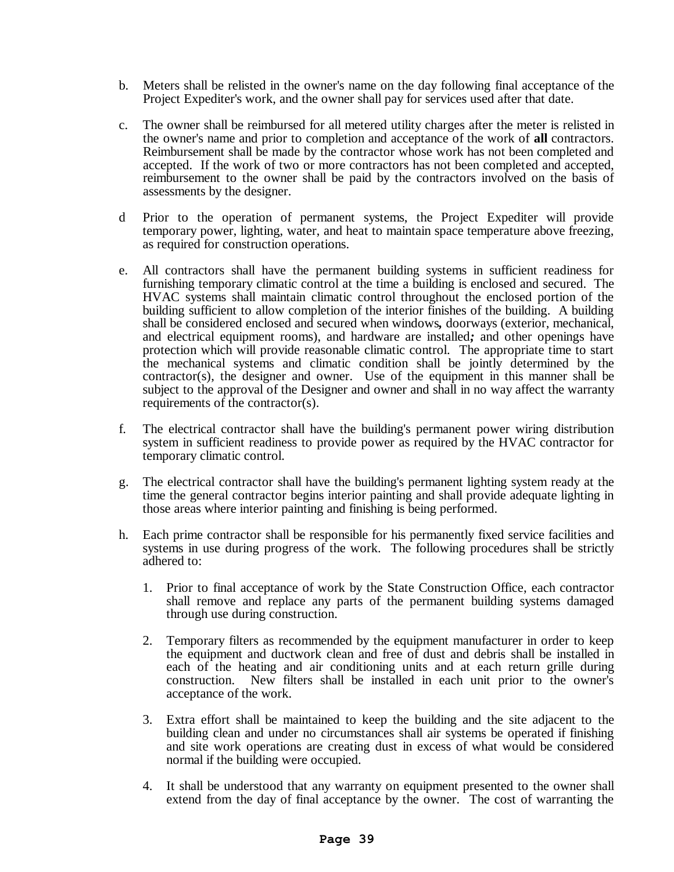- b. Meters shall be relisted in the owner's name on the day following final acceptance of the Project Expediter's work, and the owner shall pay for services used after that date.
- c. The owner shall be reimbursed for all metered utility charges after the meter is relisted in the owner's name and prior to completion and acceptance of the work of **all** contractors. Reimbursement shall be made by the contractor whose work has not been completed and accepted. If the work of two or more contractors has not been completed and accepted, reimbursement to the owner shall be paid by the contractors involved on the basis of assessments by the designer.
- d Prior to the operation of permanent systems, the Project Expediter will provide temporary power, lighting, water, and heat to maintain space temperature above freezing, as required for construction operations.
- e. All contractors shall have the permanent building systems in sufficient readiness for furnishing temporary climatic control at the time a building is enclosed and secured. The HVAC systems shall maintain climatic control throughout the enclosed portion of the building sufficient to allow completion of the interior finishes of the building. A building shall be considered enclosed and secured when windows*,* doorways (exterior, mechanical, and electrical equipment rooms), and hardware are installed*;* and other openings have protection which will provide reasonable climatic control. The appropriate time to start the mechanical systems and climatic condition shall be jointly determined by the contractor(s), the designer and owner. Use of the equipment in this manner shall be subject to the approval of the Designer and owner and shall in no way affect the warranty requirements of the contractor(s).
- f. The electrical contractor shall have the building's permanent power wiring distribution system in sufficient readiness to provide power as required by the HVAC contractor for temporary climatic control.
- g. The electrical contractor shall have the building's permanent lighting system ready at the time the general contractor begins interior painting and shall provide adequate lighting in those areas where interior painting and finishing is being performed.
- h. Each prime contractor shall be responsible for his permanently fixed service facilities and systems in use during progress of the work. The following procedures shall be strictly adhered to:
	- 1. Prior to final acceptance of work by the State Construction Office, each contractor shall remove and replace any parts of the permanent building systems damaged through use during construction.
	- 2. Temporary filters as recommended by the equipment manufacturer in order to keep the equipment and ductwork clean and free of dust and debris shall be installed in each of the heating and air conditioning units and at each return grille during construction. New filters shall be installed in each unit prior to the owner's acceptance of the work.
	- 3. Extra effort shall be maintained to keep the building and the site adjacent to the building clean and under no circumstances shall air systems be operated if finishing and site work operations are creating dust in excess of what would be considered normal if the building were occupied.
	- 4. It shall be understood that any warranty on equipment presented to the owner shall extend from the day of final acceptance by the owner. The cost of warranting the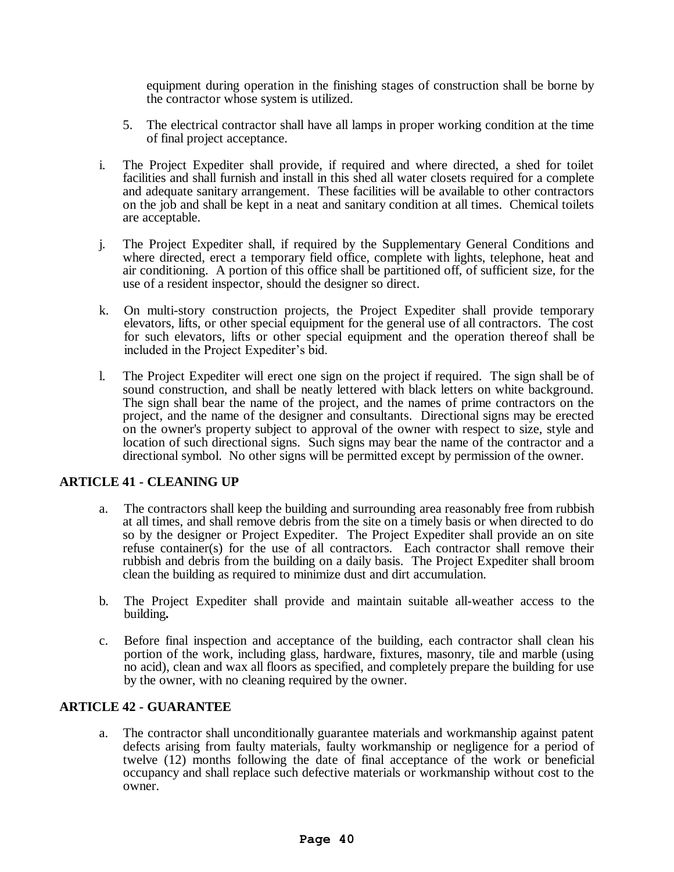equipment during operation in the finishing stages of construction shall be borne by the contractor whose system is utilized.

- 5. The electrical contractor shall have all lamps in proper working condition at the time of final project acceptance.
- i. The Project Expediter shall provide, if required and where directed, a shed for toilet facilities and shall furnish and install in this shed all water closets required for a complete and adequate sanitary arrangement. These facilities will be available to other contractors on the job and shall be kept in a neat and sanitary condition at all times. Chemical toilets are acceptable.
- j. The Project Expediter shall, if required by the Supplementary General Conditions and where directed, erect a temporary field office, complete with lights, telephone, heat and air conditioning. A portion of this office shall be partitioned off, of sufficient size, for the use of a resident inspector, should the designer so direct.
- k. On multi-story construction projects, the Project Expediter shall provide temporary elevators, lifts, or other special equipment for the general use of all contractors. The cost for such elevators, lifts or other special equipment and the operation thereof shall be included in the Project Expediter's bid.
- l. The Project Expediter will erect one sign on the project if required. The sign shall be of sound construction, and shall be neatly lettered with black letters on white background. The sign shall bear the name of the project, and the names of prime contractors on the project, and the name of the designer and consultants. Directional signs may be erected on the owner's property subject to approval of the owner with respect to size, style and location of such directional signs. Such signs may bear the name of the contractor and a directional symbol. No other signs will be permitted except by permission of the owner.

# **ARTICLE 41 - CLEANING UP**

- a. The contractors shall keep the building and surrounding area reasonably free from rubbish at all times, and shall remove debris from the site on a timely basis or when directed to do so by the designer or Project Expediter. The Project Expediter shall provide an on site refuse container(s) for the use of all contractors. Each contractor shall remove their rubbish and debris from the building on a daily basis. The Project Expediter shall broom clean the building as required to minimize dust and dirt accumulation.
- b. The Project Expediter shall provide and maintain suitable all-weather access to the building*.*
- c. Before final inspection and acceptance of the building, each contractor shall clean his portion of the work, including glass, hardware, fixtures, masonry, tile and marble (using no acid), clean and wax all floors as specified, and completely prepare the building for use by the owner, with no cleaning required by the owner.

# **ARTICLE 42 - GUARANTEE**

a. The contractor shall unconditionally guarantee materials and workmanship against patent defects arising from faulty materials, faulty workmanship or negligence for a period of twelve (12) months following the date of final acceptance of the work or beneficial occupancy and shall replace such defective materials or workmanship without cost to the owner.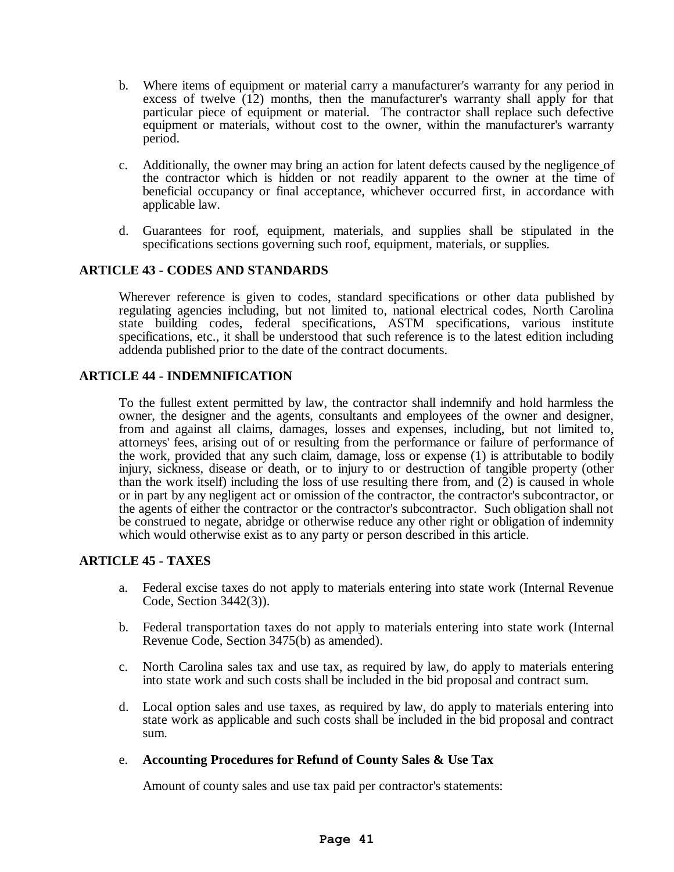- b. Where items of equipment or material carry a manufacturer's warranty for any period in excess of twelve (12) months, then the manufacturer's warranty shall apply for that particular piece of equipment or material. The contractor shall replace such defective equipment or materials, without cost to the owner, within the manufacturer's warranty period.
- c. Additionally, the owner may bring an action for latent defects caused by the negligence of the contractor which is hidden or not readily apparent to the owner at the time of beneficial occupancy or final acceptance, whichever occurred first, in accordance with applicable law.
- d. Guarantees for roof, equipment, materials, and supplies shall be stipulated in the specifications sections governing such roof, equipment, materials, or supplies.

# **ARTICLE 43 - CODES AND STANDARDS**

Wherever reference is given to codes, standard specifications or other data published by regulating agencies including, but not limited to, national electrical codes, North Carolina state building codes, federal specifications, ASTM specifications, various institute specifications, etc., it shall be understood that such reference is to the latest edition including addenda published prior to the date of the contract documents.

#### **ARTICLE 44 - INDEMNIFICATION**

To the fullest extent permitted by law, the contractor shall indemnify and hold harmless the owner, the designer and the agents, consultants and employees of the owner and designer, from and against all claims, damages, losses and expenses, including, but not limited to, attorneys' fees, arising out of or resulting from the performance or failure of performance of the work, provided that any such claim, damage, loss or expense (1) is attributable to bodily injury, sickness, disease or death, or to injury to or destruction of tangible property (other than the work itself) including the loss of use resulting there from, and  $(2)$  is caused in whole or in part by any negligent act or omission of the contractor, the contractor's subcontractor, or the agents of either the contractor or the contractor's subcontractor. Such obligation shall not be construed to negate, abridge or otherwise reduce any other right or obligation of indemnity which would otherwise exist as to any party or person described in this article.

#### **ARTICLE 45 - TAXES**

- a. Federal excise taxes do not apply to materials entering into state work (Internal Revenue Code, Section 3442(3)).
- b. Federal transportation taxes do not apply to materials entering into state work (Internal Revenue Code, Section 3475(b) as amended).
- c. North Carolina sales tax and use tax, as required by law, do apply to materials entering into state work and such costs shall be included in the bid proposal and contract sum.
- d. Local option sales and use taxes, as required by law, do apply to materials entering into state work as applicable and such costs shall be included in the bid proposal and contract sum.
- e. **Accounting Procedures for Refund of County Sales & Use Tax**

Amount of county sales and use tax paid per contractor's statements: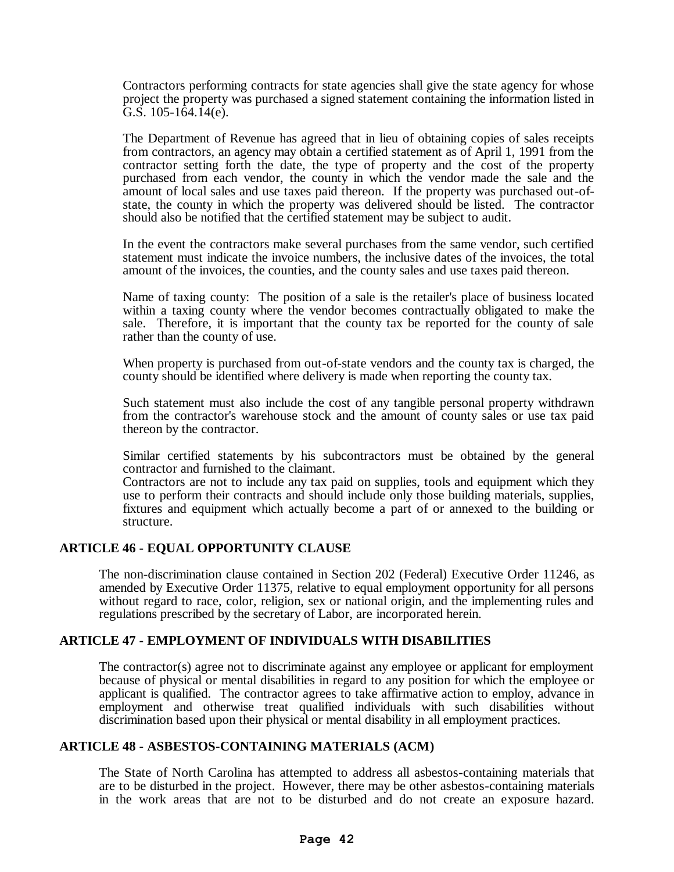Contractors performing contracts for state agencies shall give the state agency for whose project the property was purchased a signed statement containing the information listed in G.S.  $105 - 164.14(e)$ .

The Department of Revenue has agreed that in lieu of obtaining copies of sales receipts from contractors, an agency may obtain a certified statement as of April 1, 1991 from the contractor setting forth the date, the type of property and the cost of the property purchased from each vendor, the county in which the vendor made the sale and the amount of local sales and use taxes paid thereon. If the property was purchased out-ofstate, the county in which the property was delivered should be listed. The contractor should also be notified that the certified statement may be subject to audit.

In the event the contractors make several purchases from the same vendor, such certified statement must indicate the invoice numbers, the inclusive dates of the invoices, the total amount of the invoices, the counties, and the county sales and use taxes paid thereon.

Name of taxing county: The position of a sale is the retailer's place of business located within a taxing county where the vendor becomes contractually obligated to make the sale. Therefore, it is important that the county tax be reported for the county of sale rather than the county of use.

When property is purchased from out-of-state vendors and the county tax is charged, the county should be identified where delivery is made when reporting the county tax.

Such statement must also include the cost of any tangible personal property withdrawn from the contractor's warehouse stock and the amount of county sales or use tax paid thereon by the contractor.

Similar certified statements by his subcontractors must be obtained by the general contractor and furnished to the claimant.

Contractors are not to include any tax paid on supplies, tools and equipment which they use to perform their contracts and should include only those building materials, supplies, fixtures and equipment which actually become a part of or annexed to the building or structure.

#### **ARTICLE 46 - EQUAL OPPORTUNITY CLAUSE**

The non-discrimination clause contained in Section 202 (Federal) Executive Order 11246, as amended by Executive Order 11375, relative to equal employment opportunity for all persons without regard to race, color, religion, sex or national origin, and the implementing rules and regulations prescribed by the secretary of Labor, are incorporated herein.

#### **ARTICLE 47 - EMPLOYMENT OF INDIVIDUALS WITH DISABILITIES**

The contractor(s) agree not to discriminate against any employee or applicant for employment because of physical or mental disabilities in regard to any position for which the employee or applicant is qualified. The contractor agrees to take affirmative action to employ, advance in employment and otherwise treat qualified individuals with such disabilities without discrimination based upon their physical or mental disability in all employment practices.

#### **ARTICLE 48 - ASBESTOS-CONTAINING MATERIALS (ACM)**

The State of North Carolina has attempted to address all asbestos-containing materials that are to be disturbed in the project. However, there may be other asbestos-containing materials in the work areas that are not to be disturbed and do not create an exposure hazard.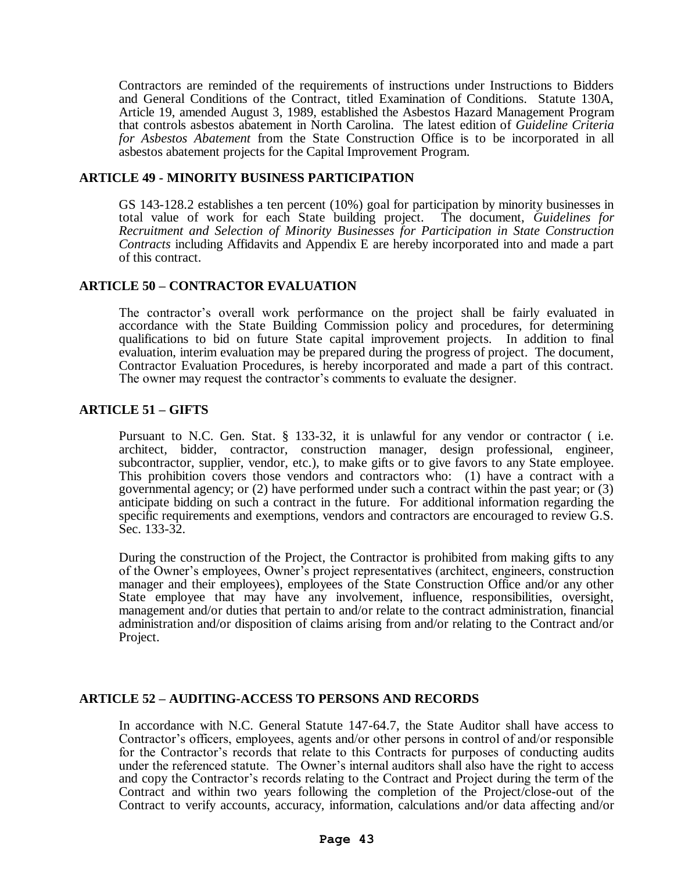Contractors are reminded of the requirements of instructions under Instructions to Bidders and General Conditions of the Contract, titled Examination of Conditions. Statute 130A, Article 19, amended August 3, 1989, established the Asbestos Hazard Management Program that controls asbestos abatement in North Carolina. The latest edition of *Guideline Criteria for Asbestos Abatement* from the State Construction Office is to be incorporated in all asbestos abatement projects for the Capital Improvement Program.

#### **ARTICLE 49 - MINORITY BUSINESS PARTICIPATION**

GS 143-128.2 establishes a ten percent (10%) goal for participation by minority businesses in total value of work for each State building project. The document, *Guidelines for Recruitment and Selection of Minority Businesses for Participation in State Construction Contracts* including Affidavits and Appendix E are hereby incorporated into and made a part of this contract.

# **ARTICLE 50 – CONTRACTOR EVALUATION**

The contractor's overall work performance on the project shall be fairly evaluated in accordance with the State Building Commission policy and procedures, for determining qualifications to bid on future State capital improvement projects. In addition to final evaluation, interim evaluation may be prepared during the progress of project. The document, Contractor Evaluation Procedures, is hereby incorporated and made a part of this contract. The owner may request the contractor's comments to evaluate the designer.

# **ARTICLE 51 – GIFTS**

Pursuant to N.C. Gen. Stat. § 133-32, it is unlawful for any vendor or contractor (i.e. architect, bidder, contractor, construction manager, design professional, engineer, subcontractor, supplier, vendor, etc.), to make gifts or to give favors to any State employee. This prohibition covers those vendors and contractors who: (1) have a contract with a governmental agency; or (2) have performed under such a contract within the past year; or (3) anticipate bidding on such a contract in the future. For additional information regarding the specific requirements and exemptions, vendors and contractors are encouraged to review G.S. Sec. 133-32.

During the construction of the Project, the Contractor is prohibited from making gifts to any of the Owner's employees, Owner's project representatives (architect, engineers, construction manager and their employees), employees of the State Construction Office and/or any other State employee that may have any involvement, influence, responsibilities, oversight, management and/or duties that pertain to and/or relate to the contract administration, financial administration and/or disposition of claims arising from and/or relating to the Contract and/or Project.

# **ARTICLE 52 – AUDITING-ACCESS TO PERSONS AND RECORDS**

In accordance with N.C. General Statute 147-64.7, the State Auditor shall have access to Contractor's officers, employees, agents and/or other persons in control of and/or responsible for the Contractor's records that relate to this Contracts for purposes of conducting audits under the referenced statute. The Owner's internal auditors shall also have the right to access and copy the Contractor's records relating to the Contract and Project during the term of the Contract and within two years following the completion of the Project/close-out of the Contract to verify accounts, accuracy, information, calculations and/or data affecting and/or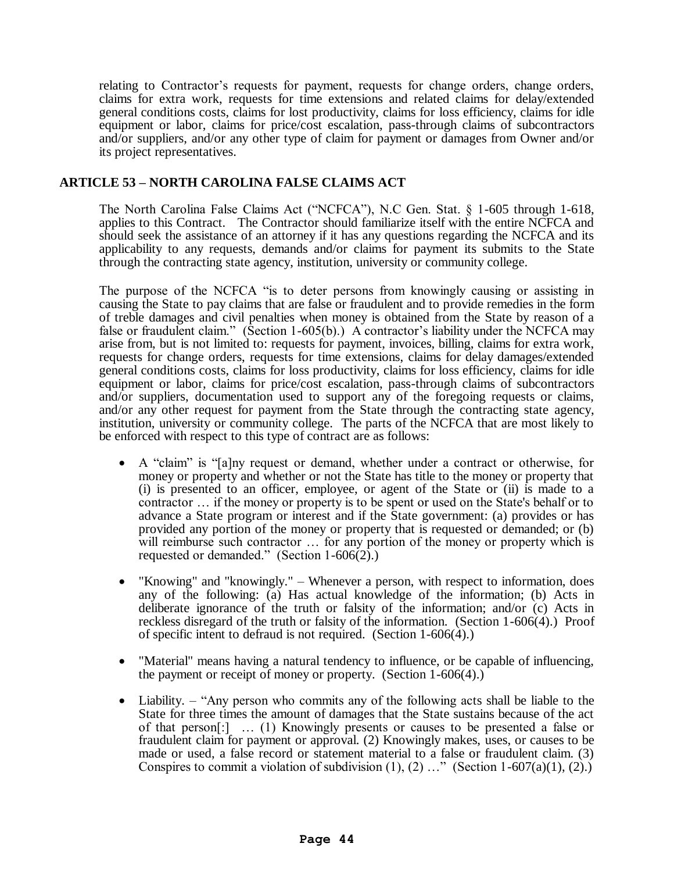relating to Contractor's requests for payment, requests for change orders, change orders, claims for extra work, requests for time extensions and related claims for delay/extended general conditions costs, claims for lost productivity, claims for loss efficiency, claims for idle equipment or labor, claims for price/cost escalation, pass-through claims of subcontractors and/or suppliers, and/or any other type of claim for payment or damages from Owner and/or its project representatives.

# **ARTICLE 53 – NORTH CAROLINA FALSE CLAIMS ACT**

The North Carolina False Claims Act ("NCFCA"), N.C Gen. Stat. § 1-605 through 1-618, applies to this Contract. The Contractor should familiarize itself with the entire NCFCA and should seek the assistance of an attorney if it has any questions regarding the NCFCA and its applicability to any requests, demands and/or claims for payment its submits to the State through the contracting state agency, institution, university or community college.

The purpose of the NCFCA "is to deter persons from knowingly causing or assisting in causing the State to pay claims that are false or fraudulent and to provide remedies in the form of treble damages and civil penalties when money is obtained from the State by reason of a false or fraudulent claim." (Section 1-605(b).) A contractor's liability under the NCFCA may arise from, but is not limited to: requests for payment, invoices, billing, claims for extra work, requests for change orders, requests for time extensions, claims for delay damages/extended general conditions costs, claims for loss productivity, claims for loss efficiency, claims for idle equipment or labor, claims for price/cost escalation, pass-through claims of subcontractors and/or suppliers, documentation used to support any of the foregoing requests or claims, and/or any other request for payment from the State through the contracting state agency, institution, university or community college. The parts of the NCFCA that are most likely to be enforced with respect to this type of contract are as follows:

- A "claim" is "[a]ny request or demand, whether under a contract or otherwise, for money or property and whether or not the State has title to the money or property that (i) is presented to an officer, employee, or agent of the State or (ii) is made to a contractor … if the money or property is to be spent or used on the State's behalf or to advance a State program or interest and if the State government: (a) provides or has provided any portion of the money or property that is requested or demanded; or (b) will reimburse such contractor ... for any portion of the money or property which is requested or demanded." (Section 1-606(2).)
- "Knowing" and "knowingly." Whenever a person, with respect to information, does any of the following: (a) Has actual knowledge of the information; (b) Acts in deliberate ignorance of the truth or falsity of the information; and/or (c) Acts in reckless disregard of the truth or falsity of the information. (Section 1-606(4).) Proof of specific intent to defraud is not required. (Section 1-606(4).)
- "Material" means having a natural tendency to influence, or be capable of influencing, the payment or receipt of money or property. (Section 1-606(4).)
- Liability. "Any person who commits any of the following acts shall be liable to the State for three times the amount of damages that the State sustains because of the act of that person[:] … (1) Knowingly presents or causes to be presented a false or fraudulent claim for payment or approval. (2) Knowingly makes, uses, or causes to be made or used, a false record or statement material to a false or fraudulent claim. (3) Conspires to commit a violation of subdivision  $(1)$ ,  $(2)$  ..." (Section 1-607(a)(1),  $(2)$ .)